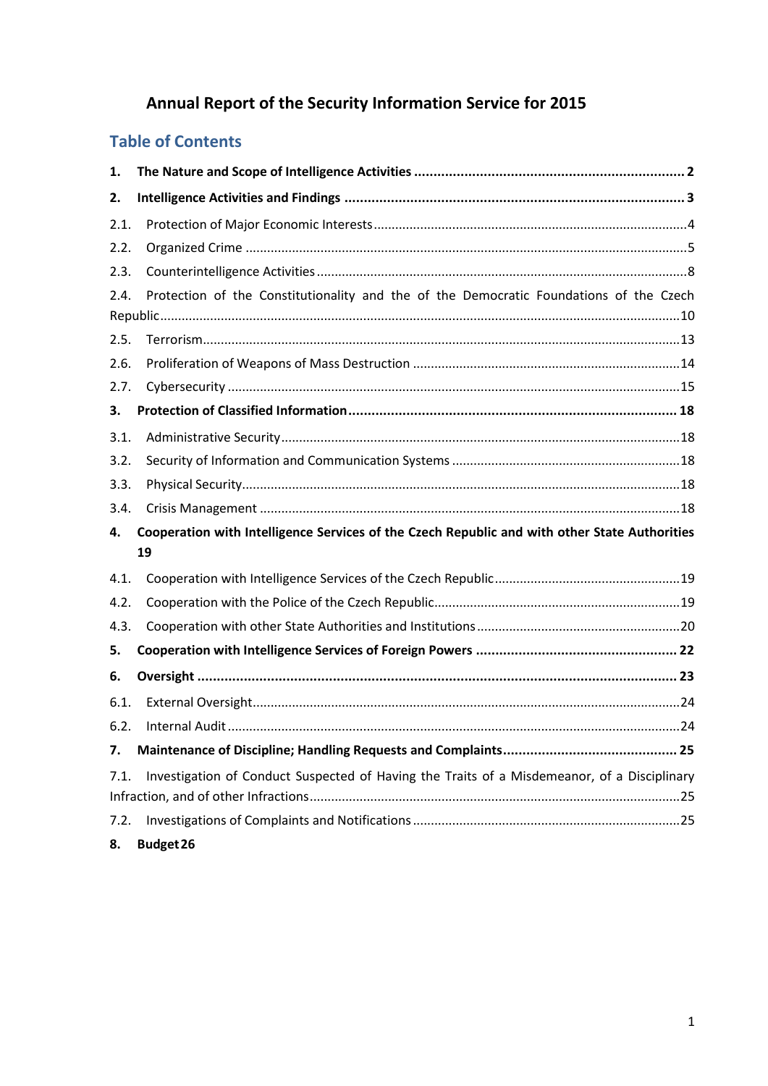# **Annual Report of the Security Information Service for 2015**

# **Table of Contents**

| 1.   |                                                                                               |  |  |  |
|------|-----------------------------------------------------------------------------------------------|--|--|--|
| 2.   |                                                                                               |  |  |  |
| 2.1. |                                                                                               |  |  |  |
| 2.2. |                                                                                               |  |  |  |
| 2.3. |                                                                                               |  |  |  |
| 2.4. | Protection of the Constitutionality and the of the Democratic Foundations of the Czech        |  |  |  |
|      |                                                                                               |  |  |  |
| 2.5. |                                                                                               |  |  |  |
| 2.6. |                                                                                               |  |  |  |
| 2.7. |                                                                                               |  |  |  |
| 3.   |                                                                                               |  |  |  |
| 3.1. |                                                                                               |  |  |  |
| 3.2. |                                                                                               |  |  |  |
| 3.3. |                                                                                               |  |  |  |
| 3.4. |                                                                                               |  |  |  |
| 4.   | Cooperation with Intelligence Services of the Czech Republic and with other State Authorities |  |  |  |
|      | 19                                                                                            |  |  |  |
| 4.1. |                                                                                               |  |  |  |
| 4.2. |                                                                                               |  |  |  |
| 4.3. |                                                                                               |  |  |  |
| 5.   |                                                                                               |  |  |  |
| 6.   |                                                                                               |  |  |  |
| 6.1. |                                                                                               |  |  |  |
| 6.2. |                                                                                               |  |  |  |
| 7.   |                                                                                               |  |  |  |
| 7.1. | Investigation of Conduct Suspected of Having the Traits of a Misdemeanor, of a Disciplinary   |  |  |  |
|      |                                                                                               |  |  |  |
| 7.2. |                                                                                               |  |  |  |
| 8.   | Budget 26                                                                                     |  |  |  |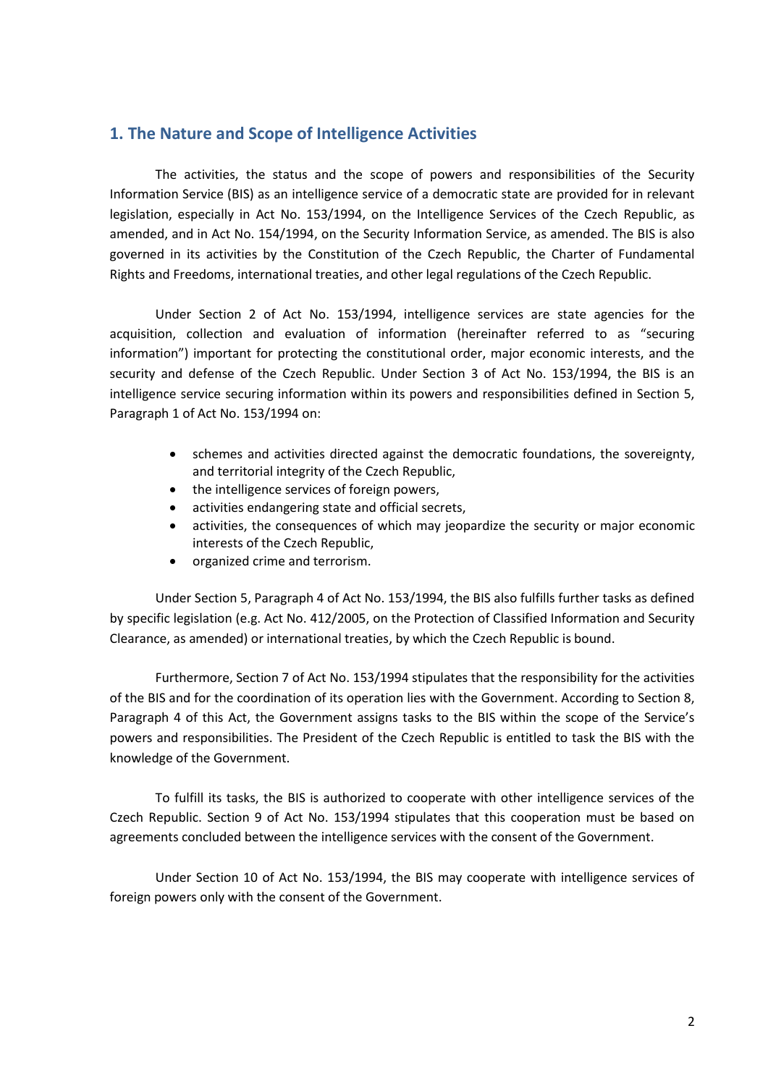# <span id="page-1-0"></span>**1. The Nature and Scope of Intelligence Activities**

The activities, the status and the scope of powers and responsibilities of the Security Information Service (BIS) as an intelligence service of a democratic state are provided for in relevant legislation, especially in Act No. 153/1994, on the Intelligence Services of the Czech Republic, as amended, and in Act No. 154/1994, on the Security Information Service, as amended. The BIS is also governed in its activities by the Constitution of the Czech Republic, the Charter of Fundamental Rights and Freedoms, international treaties, and other legal regulations of the Czech Republic.

Under Section 2 of Act No. 153/1994, intelligence services are state agencies for the acquisition, collection and evaluation of information (hereinafter referred to as "securing information") important for protecting the constitutional order, major economic interests, and the security and defense of the Czech Republic. Under Section 3 of Act No. 153/1994, the BIS is an intelligence service securing information within its powers and responsibilities defined in Section 5, Paragraph 1 of Act No. 153/1994 on:

- schemes and activities directed against the democratic foundations, the sovereignty, and territorial integrity of the Czech Republic,
- the intelligence services of foreign powers,
- activities endangering state and official secrets,
- activities, the consequences of which may jeopardize the security or major economic interests of the Czech Republic,
- organized crime and terrorism.

Under Section 5, Paragraph 4 of Act No. 153/1994, the BIS also fulfills further tasks as defined by specific legislation (e.g. Act No. 412/2005, on the Protection of Classified Information and Security Clearance, as amended) or international treaties, by which the Czech Republic is bound.

Furthermore, Section 7 of Act No. 153/1994 stipulates that the responsibility for the activities of the BIS and for the coordination of its operation lies with the Government. According to Section 8, Paragraph 4 of this Act, the Government assigns tasks to the BIS within the scope of the Service's powers and responsibilities. The President of the Czech Republic is entitled to task the BIS with the knowledge of the Government.

To fulfill its tasks, the BIS is authorized to cooperate with other intelligence services of the Czech Republic. Section 9 of Act No. 153/1994 stipulates that this cooperation must be based on agreements concluded between the intelligence services with the consent of the Government.

Under Section 10 of Act No. 153/1994, the BIS may cooperate with intelligence services of foreign powers only with the consent of the Government.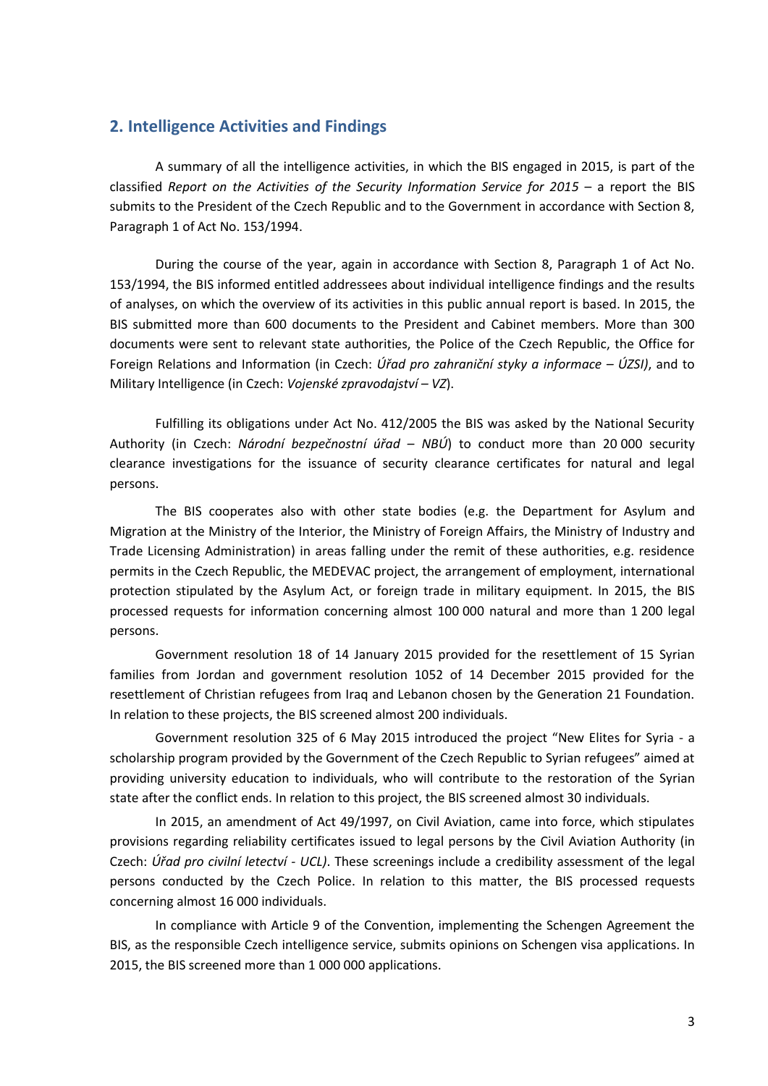# <span id="page-2-0"></span>**2. Intelligence Activities and Findings**

A summary of all the intelligence activities, in which the BIS engaged in 2015, is part of the classified *Report on the Activities of the Security Information Service for 2015* – a report the BIS submits to the President of the Czech Republic and to the Government in accordance with Section 8, Paragraph 1 of Act No. 153/1994.

During the course of the year, again in accordance with Section 8, Paragraph 1 of Act No. 153/1994, the BIS informed entitled addressees about individual intelligence findings and the results of analyses, on which the overview of its activities in this public annual report is based. In 2015, the BIS submitted more than 600 documents to the President and Cabinet members. More than 300 documents were sent to relevant state authorities, the Police of the Czech Republic, the Office for Foreign Relations and Information (in Czech: *Úřad pro zahraniční styky a informace – ÚZSI)*, and to Military Intelligence (in Czech: *Vojenské zpravodajství – VZ*).

Fulfilling its obligations under Act No. 412/2005 the BIS was asked by the National Security Authority (in Czech: *Národní bezpečnostní úřad – NBÚ*) to conduct more than 20 000 security clearance investigations for the issuance of security clearance certificates for natural and legal persons.

The BIS cooperates also with other state bodies (e.g. the Department for Asylum and Migration at the Ministry of the Interior, the Ministry of Foreign Affairs, the Ministry of Industry and Trade Licensing Administration) in areas falling under the remit of these authorities, e.g. residence permits in the Czech Republic, the MEDEVAC project, the arrangement of employment, international protection stipulated by the Asylum Act, or foreign trade in military equipment. In 2015, the BIS processed requests for information concerning almost 100 000 natural and more than 1 200 legal persons.

Government resolution 18 of 14 January 2015 provided for the resettlement of 15 Syrian families from Jordan and government resolution 1052 of 14 December 2015 provided for the resettlement of Christian refugees from Iraq and Lebanon chosen by the Generation 21 Foundation. In relation to these projects, the BIS screened almost 200 individuals.

Government resolution 325 of 6 May 2015 introduced the project "New Elites for Syria - a scholarship program provided by the Government of the Czech Republic to Syrian refugees" aimed at providing university education to individuals, who will contribute to the restoration of the Syrian state after the conflict ends. In relation to this project, the BIS screened almost 30 individuals.

In 2015, an amendment of Act 49/1997, on Civil Aviation, came into force, which stipulates provisions regarding reliability certificates issued to legal persons by the Civil Aviation Authority (in Czech: *Úřad pro civilní letectví - UCL)*. These screenings include a credibility assessment of the legal persons conducted by the Czech Police. In relation to this matter, the BIS processed requests concerning almost 16 000 individuals.

In compliance with Article 9 of the Convention, implementing the Schengen Agreement the BIS, as the responsible Czech intelligence service, submits opinions on Schengen visa applications. In 2015, the BIS screened more than 1 000 000 applications.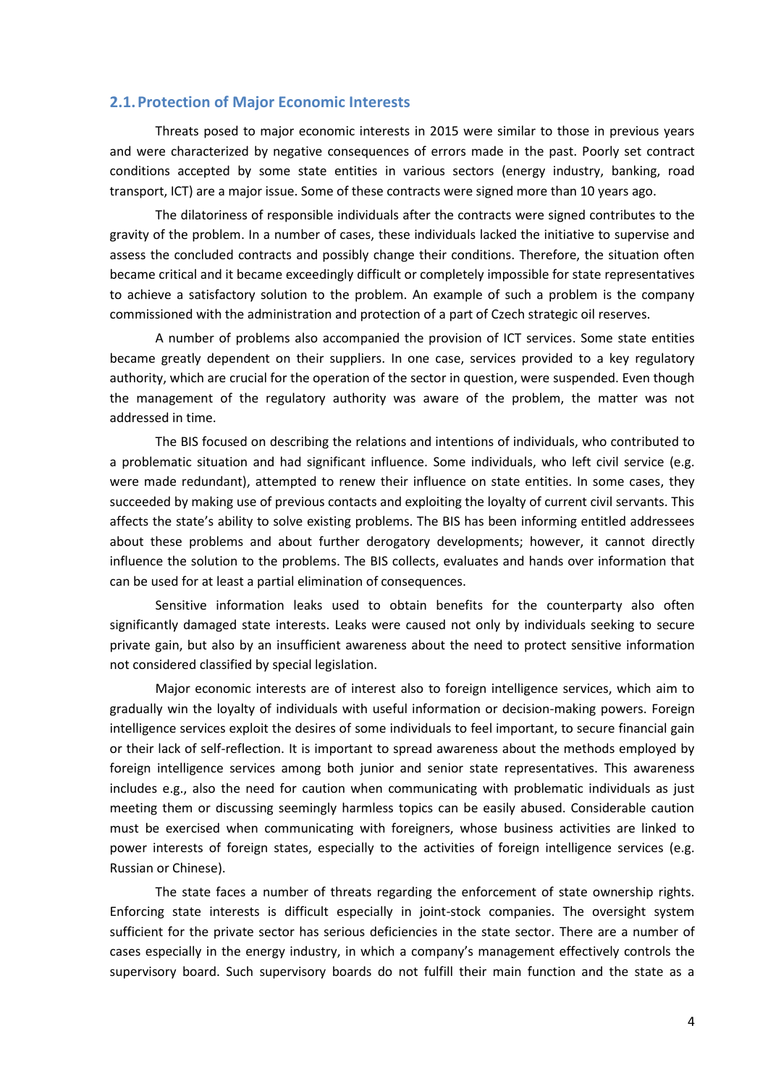## <span id="page-3-0"></span>**2.1.Protection of Major Economic Interests**

Threats posed to major economic interests in 2015 were similar to those in previous years and were characterized by negative consequences of errors made in the past. Poorly set contract conditions accepted by some state entities in various sectors (energy industry, banking, road transport, ICT) are a major issue. Some of these contracts were signed more than 10 years ago.

The dilatoriness of responsible individuals after the contracts were signed contributes to the gravity of the problem. In a number of cases, these individuals lacked the initiative to supervise and assess the concluded contracts and possibly change their conditions. Therefore, the situation often became critical and it became exceedingly difficult or completely impossible for state representatives to achieve a satisfactory solution to the problem. An example of such a problem is the company commissioned with the administration and protection of a part of Czech strategic oil reserves.

A number of problems also accompanied the provision of ICT services. Some state entities became greatly dependent on their suppliers. In one case, services provided to a key regulatory authority, which are crucial for the operation of the sector in question, were suspended. Even though the management of the regulatory authority was aware of the problem, the matter was not addressed in time.

The BIS focused on describing the relations and intentions of individuals, who contributed to a problematic situation and had significant influence. Some individuals, who left civil service (e.g. were made redundant), attempted to renew their influence on state entities. In some cases, they succeeded by making use of previous contacts and exploiting the loyalty of current civil servants. This affects the state's ability to solve existing problems. The BIS has been informing entitled addressees about these problems and about further derogatory developments; however, it cannot directly influence the solution to the problems. The BIS collects, evaluates and hands over information that can be used for at least a partial elimination of consequences.

Sensitive information leaks used to obtain benefits for the counterparty also often significantly damaged state interests. Leaks were caused not only by individuals seeking to secure private gain, but also by an insufficient awareness about the need to protect sensitive information not considered classified by special legislation.

Major economic interests are of interest also to foreign intelligence services, which aim to gradually win the loyalty of individuals with useful information or decision-making powers. Foreign intelligence services exploit the desires of some individuals to feel important, to secure financial gain or their lack of self-reflection. It is important to spread awareness about the methods employed by foreign intelligence services among both junior and senior state representatives. This awareness includes e.g., also the need for caution when communicating with problematic individuals as just meeting them or discussing seemingly harmless topics can be easily abused. Considerable caution must be exercised when communicating with foreigners, whose business activities are linked to power interests of foreign states, especially to the activities of foreign intelligence services (e.g. Russian or Chinese).

The state faces a number of threats regarding the enforcement of state ownership rights. Enforcing state interests is difficult especially in joint-stock companies. The oversight system sufficient for the private sector has serious deficiencies in the state sector. There are a number of cases especially in the energy industry, in which a company's management effectively controls the supervisory board. Such supervisory boards do not fulfill their main function and the state as a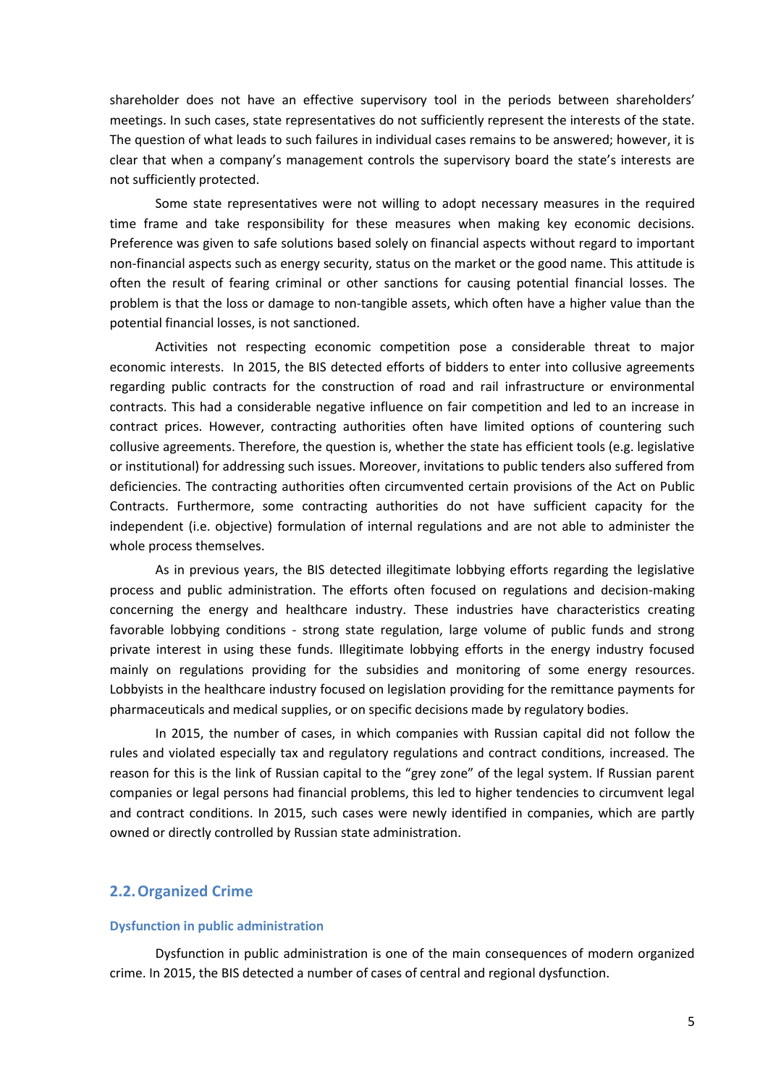shareholder does not have an effective supervisory tool in the periods between shareholders' meetings. In such cases, state representatives do not sufficiently represent the interests of the state. The question of what leads to such failures in individual cases remains to be answered; however, it is clear that when a company's management controls the supervisory board the state's interests are not sufficiently protected.

Some state representatives were not willing to adopt necessary measures in the required time frame and take responsibility for these measures when making key economic decisions. Preference was given to safe solutions based solely on financial aspects without regard to important non-financial aspects such as energy security, status on the market or the good name. This attitude is often the result of fearing criminal or other sanctions for causing potential financial losses. The problem is that the loss or damage to non-tangible assets, which often have a higher value than the potential financial losses, is not sanctioned.

Activities not respecting economic competition pose a considerable threat to major economic interests. In 2015, the BIS detected efforts of bidders to enter into collusive agreements regarding public contracts for the construction of road and rail infrastructure or environmental contracts. This had a considerable negative influence on fair competition and led to an increase in contract prices. However, contracting authorities often have limited options of countering such collusive agreements. Therefore, the question is, whether the state has efficient tools (e.g. legislative or institutional) for addressing such issues. Moreover, invitations to public tenders also suffered from deficiencies. The contracting authorities often circumvented certain provisions of the Act on Public Contracts. Furthermore, some contracting authorities do not have sufficient capacity for the independent (i.e. objective) formulation of internal regulations and are not able to administer the whole process themselves.

As in previous years, the BIS detected illegitimate lobbying efforts regarding the legislative process and public administration. The efforts often focused on regulations and decision-making concerning the energy and healthcare industry. These industries have characteristics creating favorable lobbying conditions - strong state regulation, large volume of public funds and strong private interest in using these funds. Illegitimate lobbying efforts in the energy industry focused mainly on regulations providing for the subsidies and monitoring of some energy resources. Lobbyists in the healthcare industry focused on legislation providing for the remittance payments for pharmaceuticals and medical supplies, or on specific decisions made by regulatory bodies.

In 2015, the number of cases, in which companies with Russian capital did not follow the rules and violated especially tax and regulatory regulations and contract conditions, increased. The reason for this is the link of Russian capital to the "grey zone" of the legal system. If Russian parent companies or legal persons had financial problems, this led to higher tendencies to circumvent legal and contract conditions. In 2015, such cases were newly identified in companies, which are partly owned or directly controlled by Russian state administration.

# <span id="page-4-0"></span>**2.2.Organized Crime**

#### **Dysfunction in public administration**

Dysfunction in public administration is one of the main consequences of modern organized crime. In 2015, the BIS detected a number of cases of central and regional dysfunction.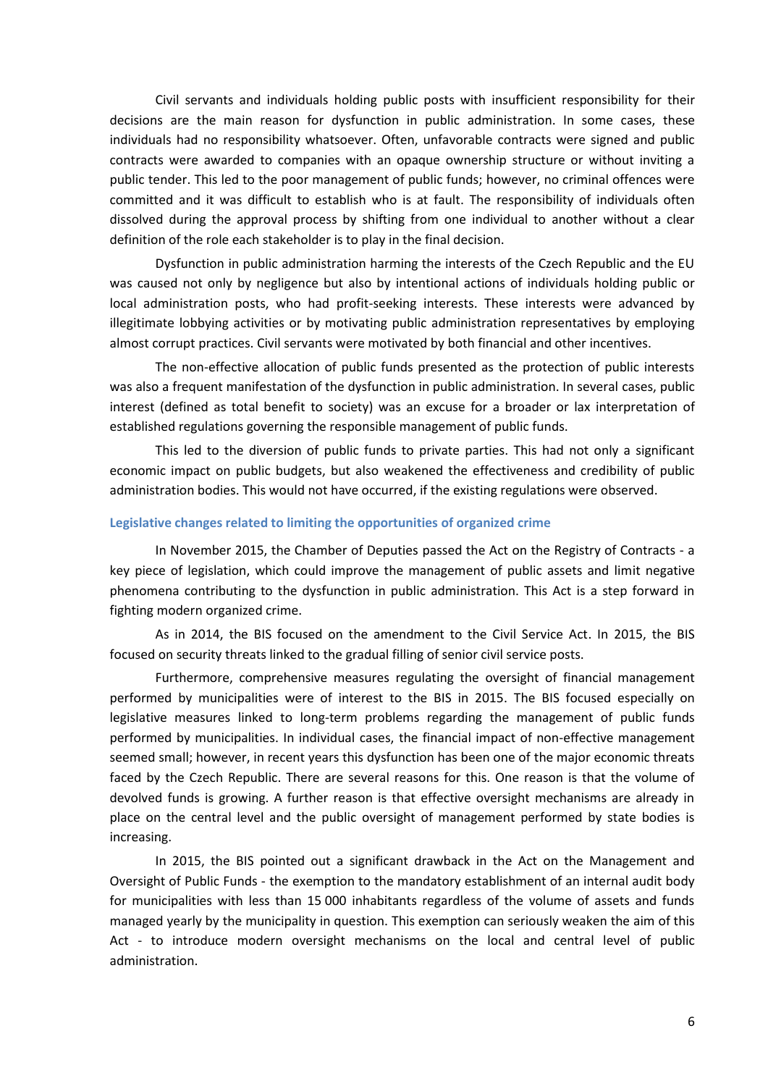Civil servants and individuals holding public posts with insufficient responsibility for their decisions are the main reason for dysfunction in public administration. In some cases, these individuals had no responsibility whatsoever. Often, unfavorable contracts were signed and public contracts were awarded to companies with an opaque ownership structure or without inviting a public tender. This led to the poor management of public funds; however, no criminal offences were committed and it was difficult to establish who is at fault. The responsibility of individuals often dissolved during the approval process by shifting from one individual to another without a clear definition of the role each stakeholder is to play in the final decision.

Dysfunction in public administration harming the interests of the Czech Republic and the EU was caused not only by negligence but also by intentional actions of individuals holding public or local administration posts, who had profit-seeking interests. These interests were advanced by illegitimate lobbying activities or by motivating public administration representatives by employing almost corrupt practices. Civil servants were motivated by both financial and other incentives.

The non-effective allocation of public funds presented as the protection of public interests was also a frequent manifestation of the dysfunction in public administration. In several cases, public interest (defined as total benefit to society) was an excuse for a broader or lax interpretation of established regulations governing the responsible management of public funds.

This led to the diversion of public funds to private parties. This had not only a significant economic impact on public budgets, but also weakened the effectiveness and credibility of public administration bodies. This would not have occurred, if the existing regulations were observed.

#### **Legislative changes related to limiting the opportunities of organized crime**

In November 2015, the Chamber of Deputies passed the Act on the Registry of Contracts - a key piece of legislation, which could improve the management of public assets and limit negative phenomena contributing to the dysfunction in public administration. This Act is a step forward in fighting modern organized crime.

As in 2014, the BIS focused on the amendment to the Civil Service Act. In 2015, the BIS focused on security threats linked to the gradual filling of senior civil service posts.

Furthermore, comprehensive measures regulating the oversight of financial management performed by municipalities were of interest to the BIS in 2015. The BIS focused especially on legislative measures linked to long-term problems regarding the management of public funds performed by municipalities. In individual cases, the financial impact of non-effective management seemed small; however, in recent years this dysfunction has been one of the major economic threats faced by the Czech Republic. There are several reasons for this. One reason is that the volume of devolved funds is growing. A further reason is that effective oversight mechanisms are already in place on the central level and the public oversight of management performed by state bodies is increasing.

In 2015, the BIS pointed out a significant drawback in the Act on the Management and Oversight of Public Funds - the exemption to the mandatory establishment of an internal audit body for municipalities with less than 15 000 inhabitants regardless of the volume of assets and funds managed yearly by the municipality in question. This exemption can seriously weaken the aim of this Act - to introduce modern oversight mechanisms on the local and central level of public administration.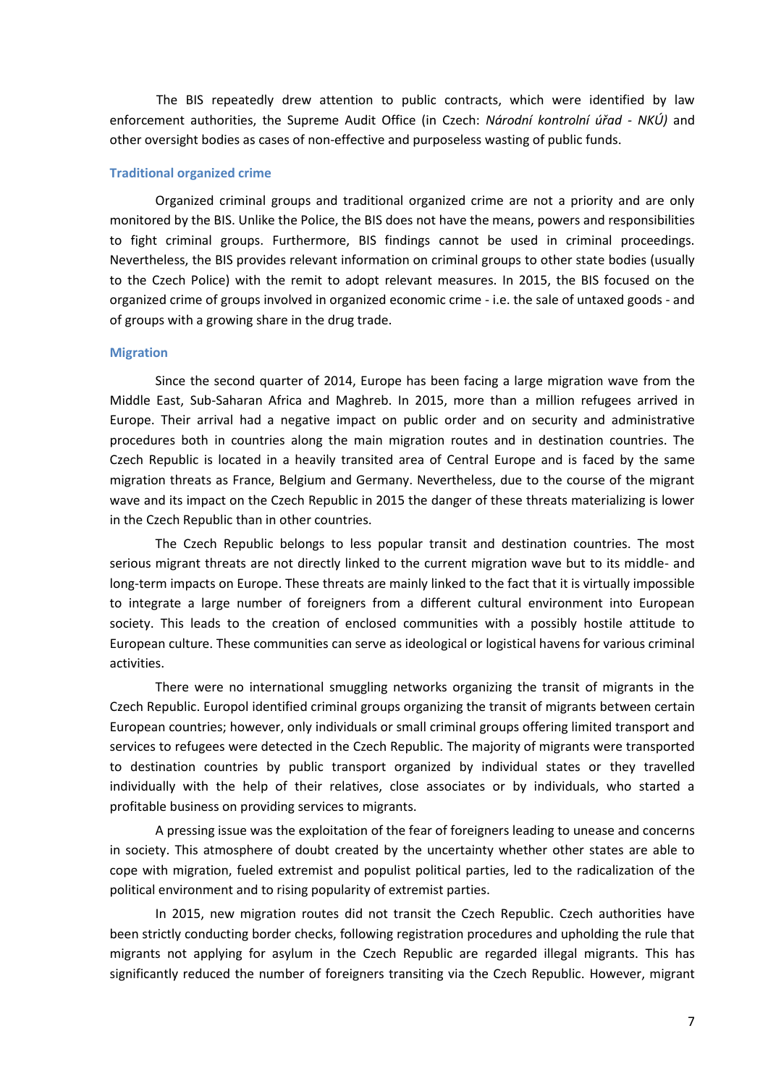The BIS repeatedly drew attention to public contracts, which were identified by law enforcement authorities, the Supreme Audit Office (in Czech: *Národní kontrolní úřad - NKÚ)* and other oversight bodies as cases of non-effective and purposeless wasting of public funds.

#### **Traditional organized crime**

Organized criminal groups and traditional organized crime are not a priority and are only monitored by the BIS. Unlike the Police, the BIS does not have the means, powers and responsibilities to fight criminal groups. Furthermore, BIS findings cannot be used in criminal proceedings. Nevertheless, the BIS provides relevant information on criminal groups to other state bodies (usually to the Czech Police) with the remit to adopt relevant measures. In 2015, the BIS focused on the organized crime of groups involved in organized economic crime - i.e. the sale of untaxed goods - and of groups with a growing share in the drug trade.

#### **Migration**

Since the second quarter of 2014, Europe has been facing a large migration wave from the Middle East, Sub-Saharan Africa and Maghreb. In 2015, more than a million refugees arrived in Europe. Their arrival had a negative impact on public order and on security and administrative procedures both in countries along the main migration routes and in destination countries. The Czech Republic is located in a heavily transited area of Central Europe and is faced by the same migration threats as France, Belgium and Germany. Nevertheless, due to the course of the migrant wave and its impact on the Czech Republic in 2015 the danger of these threats materializing is lower in the Czech Republic than in other countries.

The Czech Republic belongs to less popular transit and destination countries. The most serious migrant threats are not directly linked to the current migration wave but to its middle- and long-term impacts on Europe. These threats are mainly linked to the fact that it is virtually impossible to integrate a large number of foreigners from a different cultural environment into European society. This leads to the creation of enclosed communities with a possibly hostile attitude to European culture. These communities can serve as ideological or logistical havens for various criminal activities.

There were no international smuggling networks organizing the transit of migrants in the Czech Republic. Europol identified criminal groups organizing the transit of migrants between certain European countries; however, only individuals or small criminal groups offering limited transport and services to refugees were detected in the Czech Republic. The majority of migrants were transported to destination countries by public transport organized by individual states or they travelled individually with the help of their relatives, close associates or by individuals, who started a profitable business on providing services to migrants.

A pressing issue was the exploitation of the fear of foreigners leading to unease and concerns in society. This atmosphere of doubt created by the uncertainty whether other states are able to cope with migration, fueled extremist and populist political parties, led to the radicalization of the political environment and to rising popularity of extremist parties.

In 2015, new migration routes did not transit the Czech Republic. Czech authorities have been strictly conducting border checks, following registration procedures and upholding the rule that migrants not applying for asylum in the Czech Republic are regarded illegal migrants. This has significantly reduced the number of foreigners transiting via the Czech Republic. However, migrant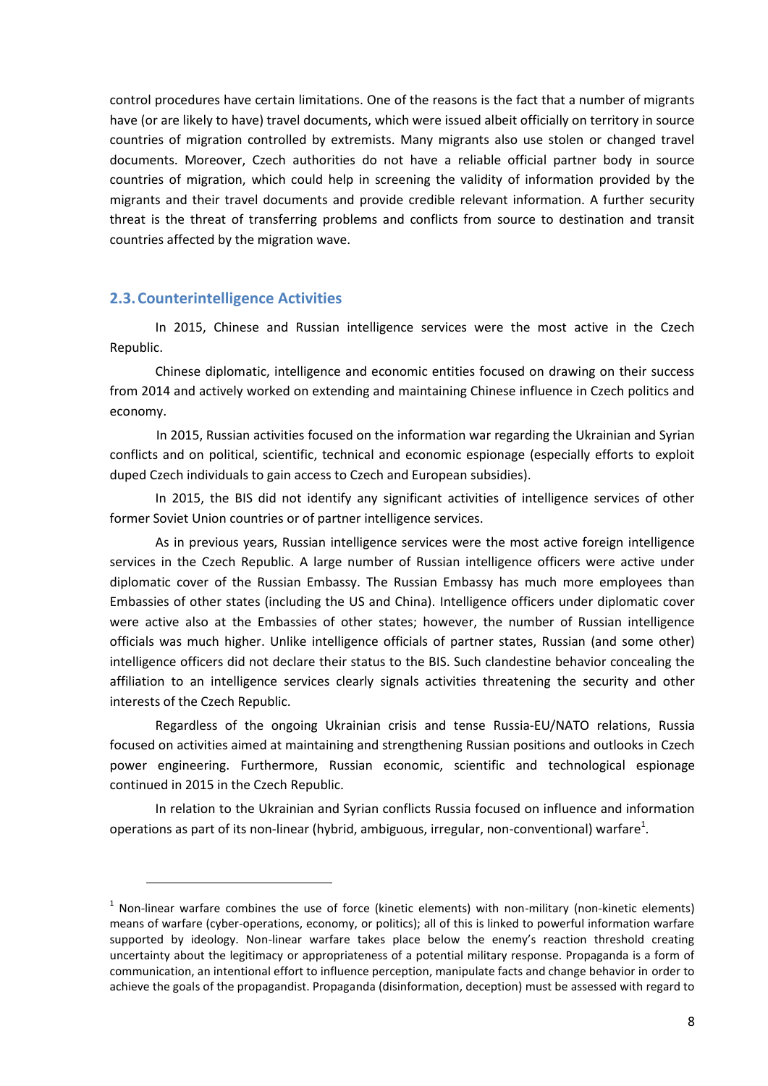control procedures have certain limitations. One of the reasons is the fact that a number of migrants have (or are likely to have) travel documents, which were issued albeit officially on territory in source countries of migration controlled by extremists. Many migrants also use stolen or changed travel documents. Moreover, Czech authorities do not have a reliable official partner body in source countries of migration, which could help in screening the validity of information provided by the migrants and their travel documents and provide credible relevant information. A further security threat is the threat of transferring problems and conflicts from source to destination and transit countries affected by the migration wave.

### <span id="page-7-0"></span>**2.3.Counterintelligence Activities**

l

In 2015, Chinese and Russian intelligence services were the most active in the Czech Republic.

Chinese diplomatic, intelligence and economic entities focused on drawing on their success from 2014 and actively worked on extending and maintaining Chinese influence in Czech politics and economy.

In 2015, Russian activities focused on the information war regarding the Ukrainian and Syrian conflicts and on political, scientific, technical and economic espionage (especially efforts to exploit duped Czech individuals to gain access to Czech and European subsidies).

In 2015, the BIS did not identify any significant activities of intelligence services of other former Soviet Union countries or of partner intelligence services.

As in previous years, Russian intelligence services were the most active foreign intelligence services in the Czech Republic. A large number of Russian intelligence officers were active under diplomatic cover of the Russian Embassy. The Russian Embassy has much more employees than Embassies of other states (including the US and China). Intelligence officers under diplomatic cover were active also at the Embassies of other states; however, the number of Russian intelligence officials was much higher. Unlike intelligence officials of partner states, Russian (and some other) intelligence officers did not declare their status to the BIS. Such clandestine behavior concealing the affiliation to an intelligence services clearly signals activities threatening the security and other interests of the Czech Republic.

Regardless of the ongoing Ukrainian crisis and tense Russia-EU/NATO relations, Russia focused on activities aimed at maintaining and strengthening Russian positions and outlooks in Czech power engineering. Furthermore, Russian economic, scientific and technological espionage continued in 2015 in the Czech Republic.

In relation to the Ukrainian and Syrian conflicts Russia focused on influence and information operations as part of its non-linear (hybrid, ambiguous, irregular, non-conventional) warfare<sup>1</sup>.

 $1$  Non-linear warfare combines the use of force (kinetic elements) with non-military (non-kinetic elements) means of warfare (cyber-operations, economy, or politics); all of this is linked to powerful information warfare supported by ideology. Non-linear warfare takes place below the enemy's reaction threshold creating uncertainty about the legitimacy or appropriateness of a potential military response. Propaganda is a form of communication, an intentional effort to influence perception, manipulate facts and change behavior in order to achieve the goals of the propagandist. Propaganda (disinformation, deception) must be assessed with regard to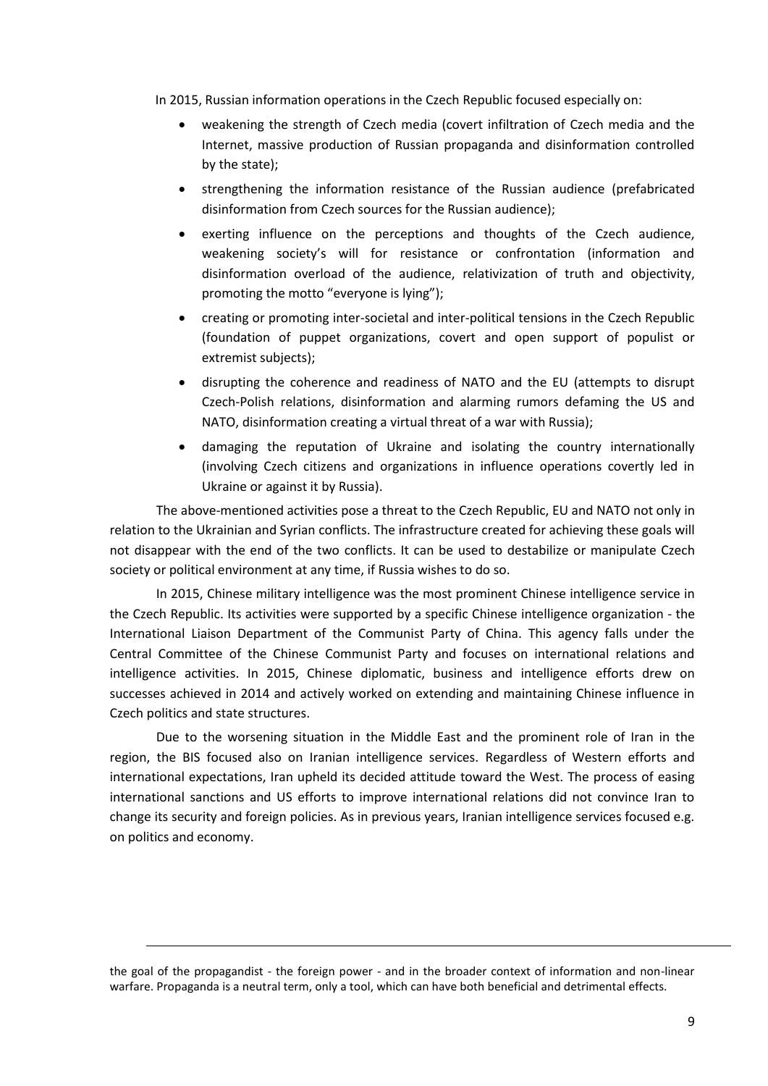In 2015, Russian information operations in the Czech Republic focused especially on:

- weakening the strength of Czech media (covert infiltration of Czech media and the Internet, massive production of Russian propaganda and disinformation controlled by the state);
- strengthening the information resistance of the Russian audience (prefabricated disinformation from Czech sources for the Russian audience);
- exerting influence on the perceptions and thoughts of the Czech audience, weakening society's will for resistance or confrontation (information and disinformation overload of the audience, relativization of truth and objectivity, promoting the motto "everyone is lying");
- creating or promoting inter-societal and inter-political tensions in the Czech Republic (foundation of puppet organizations, covert and open support of populist or extremist subjects);
- disrupting the coherence and readiness of NATO and the EU (attempts to disrupt Czech-Polish relations, disinformation and alarming rumors defaming the US and NATO, disinformation creating a virtual threat of a war with Russia);
- damaging the reputation of Ukraine and isolating the country internationally (involving Czech citizens and organizations in influence operations covertly led in Ukraine or against it by Russia).

The above-mentioned activities pose a threat to the Czech Republic, EU and NATO not only in relation to the Ukrainian and Syrian conflicts. The infrastructure created for achieving these goals will not disappear with the end of the two conflicts. It can be used to destabilize or manipulate Czech society or political environment at any time, if Russia wishes to do so.

In 2015, Chinese military intelligence was the most prominent Chinese intelligence service in the Czech Republic. Its activities were supported by a specific Chinese intelligence organization - the International Liaison Department of the Communist Party of China. This agency falls under the Central Committee of the Chinese Communist Party and focuses on international relations and intelligence activities. In 2015, Chinese diplomatic, business and intelligence efforts drew on successes achieved in 2014 and actively worked on extending and maintaining Chinese influence in Czech politics and state structures.

Due to the worsening situation in the Middle East and the prominent role of Iran in the region, the BIS focused also on Iranian intelligence services. Regardless of Western efforts and international expectations, Iran upheld its decided attitude toward the West. The process of easing international sanctions and US efforts to improve international relations did not convince Iran to change its security and foreign policies. As in previous years, Iranian intelligence services focused e.g. on politics and economy.

 $\overline{\phantom{a}}$ 

the goal of the propagandist - the foreign power - and in the broader context of information and non-linear warfare. Propaganda is a neutral term, only a tool, which can have both beneficial and detrimental effects.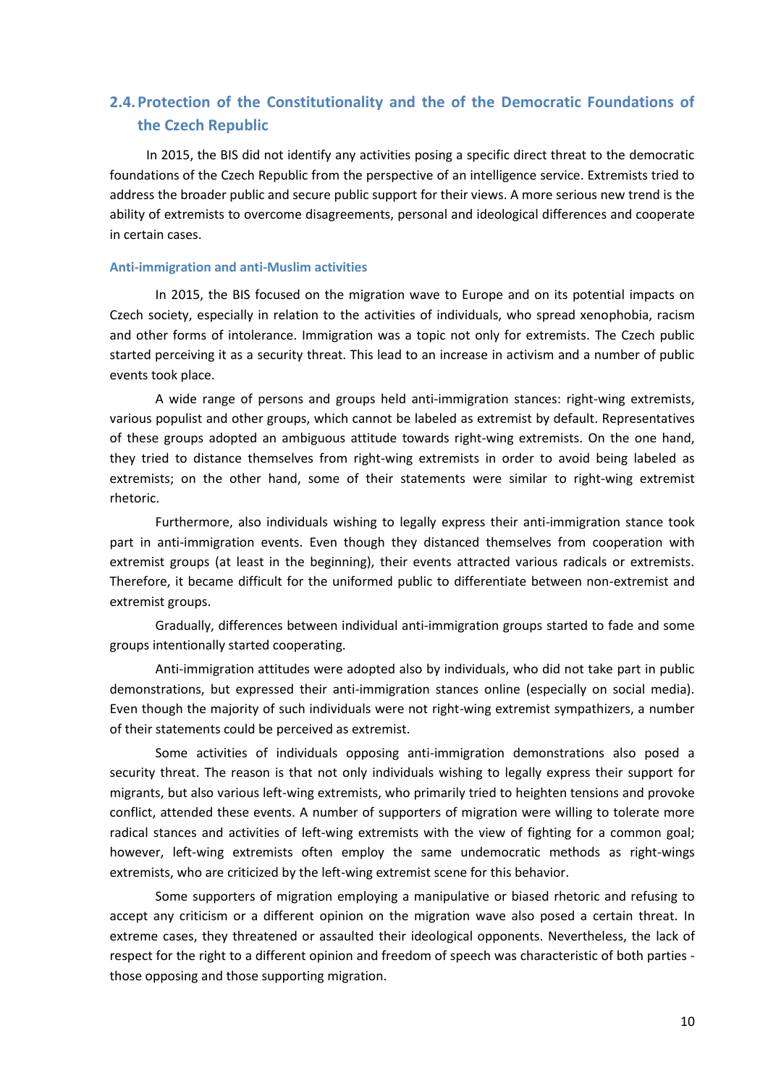# <span id="page-9-0"></span>**2.4.Protection of the Constitutionality and the of the Democratic Foundations of the Czech Republic**

In 2015, the BIS did not identify any activities posing a specific direct threat to the democratic foundations of the Czech Republic from the perspective of an intelligence service. Extremists tried to address the broader public and secure public support for their views. A more serious new trend is the ability of extremists to overcome disagreements, personal and ideological differences and cooperate in certain cases.

#### **Anti-immigration and anti-Muslim activities**

In 2015, the BIS focused on the migration wave to Europe and on its potential impacts on Czech society, especially in relation to the activities of individuals, who spread xenophobia, racism and other forms of intolerance. Immigration was a topic not only for extremists. The Czech public started perceiving it as a security threat. This lead to an increase in activism and a number of public events took place.

A wide range of persons and groups held anti-immigration stances: right-wing extremists, various populist and other groups, which cannot be labeled as extremist by default. Representatives of these groups adopted an ambiguous attitude towards right-wing extremists. On the one hand, they tried to distance themselves from right-wing extremists in order to avoid being labeled as extremists; on the other hand, some of their statements were similar to right-wing extremist rhetoric.

Furthermore, also individuals wishing to legally express their anti-immigration stance took part in anti-immigration events. Even though they distanced themselves from cooperation with extremist groups (at least in the beginning), their events attracted various radicals or extremists. Therefore, it became difficult for the uniformed public to differentiate between non-extremist and extremist groups.

Gradually, differences between individual anti-immigration groups started to fade and some groups intentionally started cooperating.

Anti-immigration attitudes were adopted also by individuals, who did not take part in public demonstrations, but expressed their anti-immigration stances online (especially on social media). Even though the majority of such individuals were not right-wing extremist sympathizers, a number of their statements could be perceived as extremist.

Some activities of individuals opposing anti-immigration demonstrations also posed a security threat. The reason is that not only individuals wishing to legally express their support for migrants, but also various left-wing extremists, who primarily tried to heighten tensions and provoke conflict, attended these events. A number of supporters of migration were willing to tolerate more radical stances and activities of left-wing extremists with the view of fighting for a common goal; however, left-wing extremists often employ the same undemocratic methods as right-wings extremists, who are criticized by the left-wing extremist scene for this behavior.

Some supporters of migration employing a manipulative or biased rhetoric and refusing to accept any criticism or a different opinion on the migration wave also posed a certain threat. In extreme cases, they threatened or assaulted their ideological opponents. Nevertheless, the lack of respect for the right to a different opinion and freedom of speech was characteristic of both parties those opposing and those supporting migration.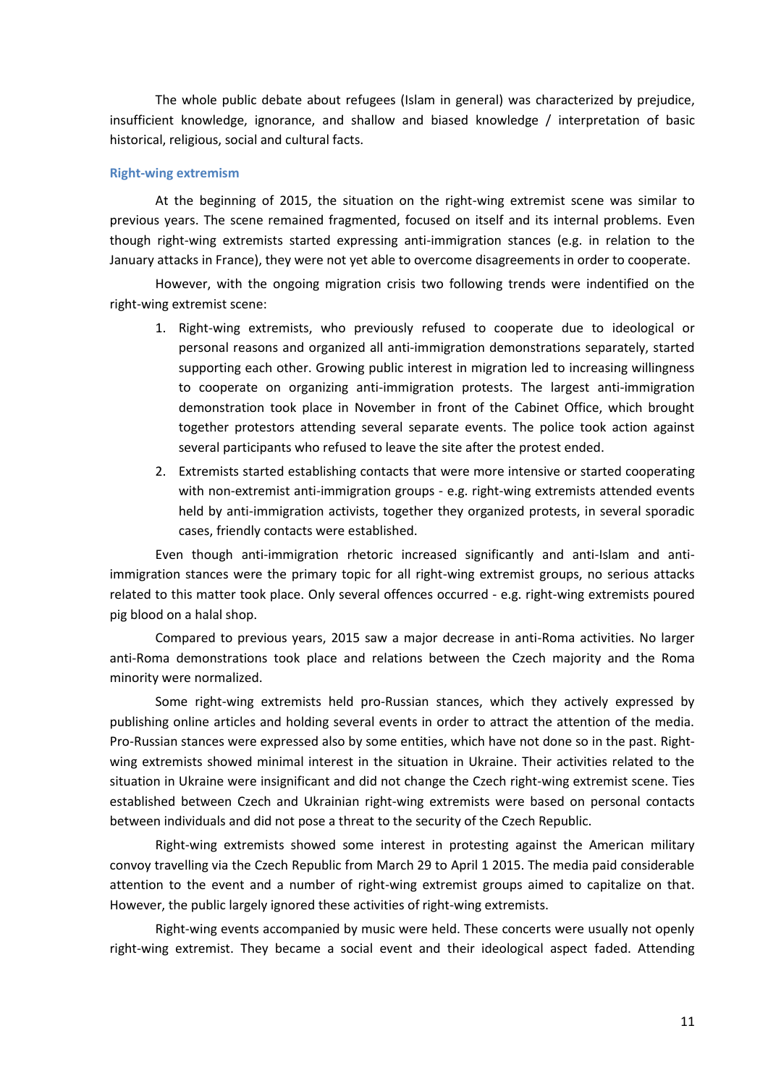The whole public debate about refugees (Islam in general) was characterized by prejudice, insufficient knowledge, ignorance, and shallow and biased knowledge / interpretation of basic historical, religious, social and cultural facts.

#### **Right-wing extremism**

At the beginning of 2015, the situation on the right-wing extremist scene was similar to previous years. The scene remained fragmented, focused on itself and its internal problems. Even though right-wing extremists started expressing anti-immigration stances (e.g. in relation to the January attacks in France), they were not yet able to overcome disagreements in order to cooperate.

However, with the ongoing migration crisis two following trends were indentified on the right-wing extremist scene:

- 1. Right-wing extremists, who previously refused to cooperate due to ideological or personal reasons and organized all anti-immigration demonstrations separately, started supporting each other. Growing public interest in migration led to increasing willingness to cooperate on organizing anti-immigration protests. The largest anti-immigration demonstration took place in November in front of the Cabinet Office, which brought together protestors attending several separate events. The police took action against several participants who refused to leave the site after the protest ended.
- 2. Extremists started establishing contacts that were more intensive or started cooperating with non-extremist anti-immigration groups - e.g. right-wing extremists attended events held by anti-immigration activists, together they organized protests, in several sporadic cases, friendly contacts were established.

Even though anti-immigration rhetoric increased significantly and anti-Islam and antiimmigration stances were the primary topic for all right-wing extremist groups, no serious attacks related to this matter took place. Only several offences occurred - e.g. right-wing extremists poured pig blood on a halal shop.

Compared to previous years, 2015 saw a major decrease in anti-Roma activities. No larger anti-Roma demonstrations took place and relations between the Czech majority and the Roma minority were normalized.

Some right-wing extremists held pro-Russian stances, which they actively expressed by publishing online articles and holding several events in order to attract the attention of the media. Pro-Russian stances were expressed also by some entities, which have not done so in the past. Rightwing extremists showed minimal interest in the situation in Ukraine. Their activities related to the situation in Ukraine were insignificant and did not change the Czech right-wing extremist scene. Ties established between Czech and Ukrainian right-wing extremists were based on personal contacts between individuals and did not pose a threat to the security of the Czech Republic.

Right-wing extremists showed some interest in protesting against the American military convoy travelling via the Czech Republic from March 29 to April 1 2015. The media paid considerable attention to the event and a number of right-wing extremist groups aimed to capitalize on that. However, the public largely ignored these activities of right-wing extremists.

Right-wing events accompanied by music were held. These concerts were usually not openly right-wing extremist. They became a social event and their ideological aspect faded. Attending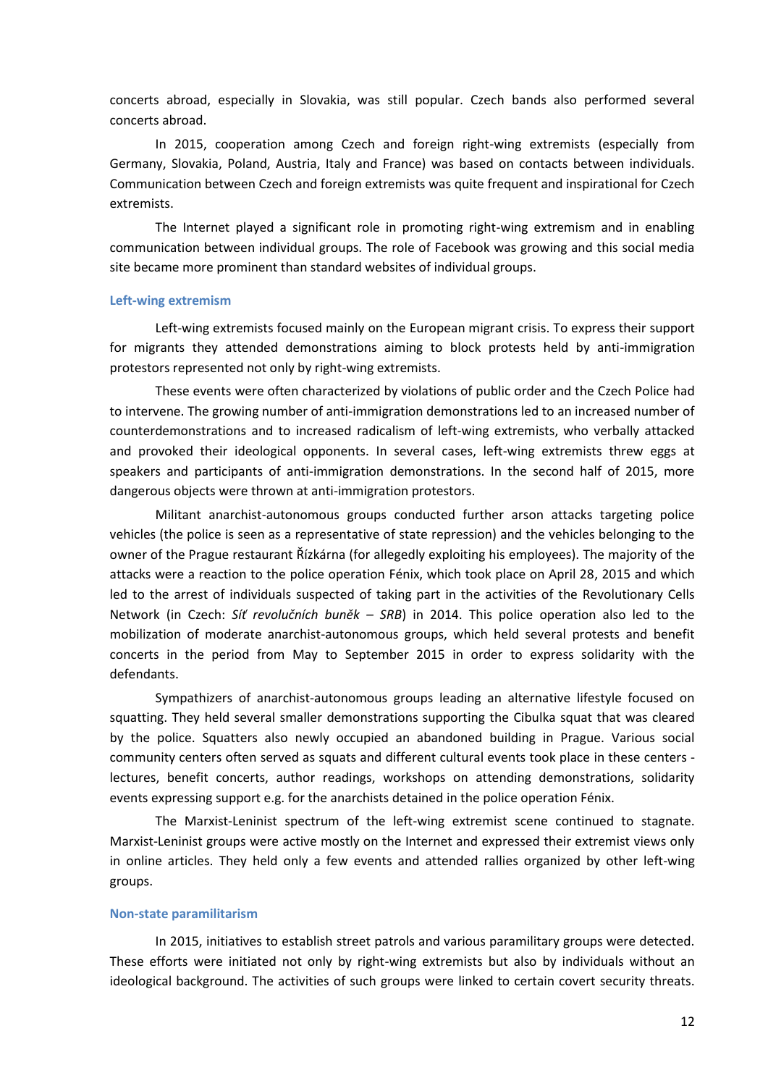concerts abroad, especially in Slovakia, was still popular. Czech bands also performed several concerts abroad.

In 2015, cooperation among Czech and foreign right-wing extremists (especially from Germany, Slovakia, Poland, Austria, Italy and France) was based on contacts between individuals. Communication between Czech and foreign extremists was quite frequent and inspirational for Czech extremists.

The Internet played a significant role in promoting right-wing extremism and in enabling communication between individual groups. The role of Facebook was growing and this social media site became more prominent than standard websites of individual groups.

#### **Left-wing extremism**

Left-wing extremists focused mainly on the European migrant crisis. To express their support for migrants they attended demonstrations aiming to block protests held by anti-immigration protestors represented not only by right-wing extremists.

These events were often characterized by violations of public order and the Czech Police had to intervene. The growing number of anti-immigration demonstrations led to an increased number of counterdemonstrations and to increased radicalism of left-wing extremists, who verbally attacked and provoked their ideological opponents. In several cases, left-wing extremists threw eggs at speakers and participants of anti-immigration demonstrations. In the second half of 2015, more dangerous objects were thrown at anti-immigration protestors.

Militant anarchist-autonomous groups conducted further arson attacks targeting police vehicles (the police is seen as a representative of state repression) and the vehicles belonging to the owner of the Prague restaurant Řízkárna (for allegedly exploiting his employees). The majority of the attacks were a reaction to the police operation Fénix, which took place on April 28, 2015 and which led to the arrest of individuals suspected of taking part in the activities of the Revolutionary Cells Network (in Czech: *Síť revolučních buněk – SRB*) in 2014. This police operation also led to the mobilization of moderate anarchist-autonomous groups, which held several protests and benefit concerts in the period from May to September 2015 in order to express solidarity with the defendants.

Sympathizers of anarchist-autonomous groups leading an alternative lifestyle focused on squatting. They held several smaller demonstrations supporting the Cibulka squat that was cleared by the police. Squatters also newly occupied an abandoned building in Prague. Various social community centers often served as squats and different cultural events took place in these centers lectures, benefit concerts, author readings, workshops on attending demonstrations, solidarity events expressing support e.g. for the anarchists detained in the police operation Fénix.

The Marxist-Leninist spectrum of the left-wing extremist scene continued to stagnate. Marxist-Leninist groups were active mostly on the Internet and expressed their extremist views only in online articles. They held only a few events and attended rallies organized by other left-wing groups.

#### **Non-state paramilitarism**

In 2015, initiatives to establish street patrols and various paramilitary groups were detected. These efforts were initiated not only by right-wing extremists but also by individuals without an ideological background. The activities of such groups were linked to certain covert security threats.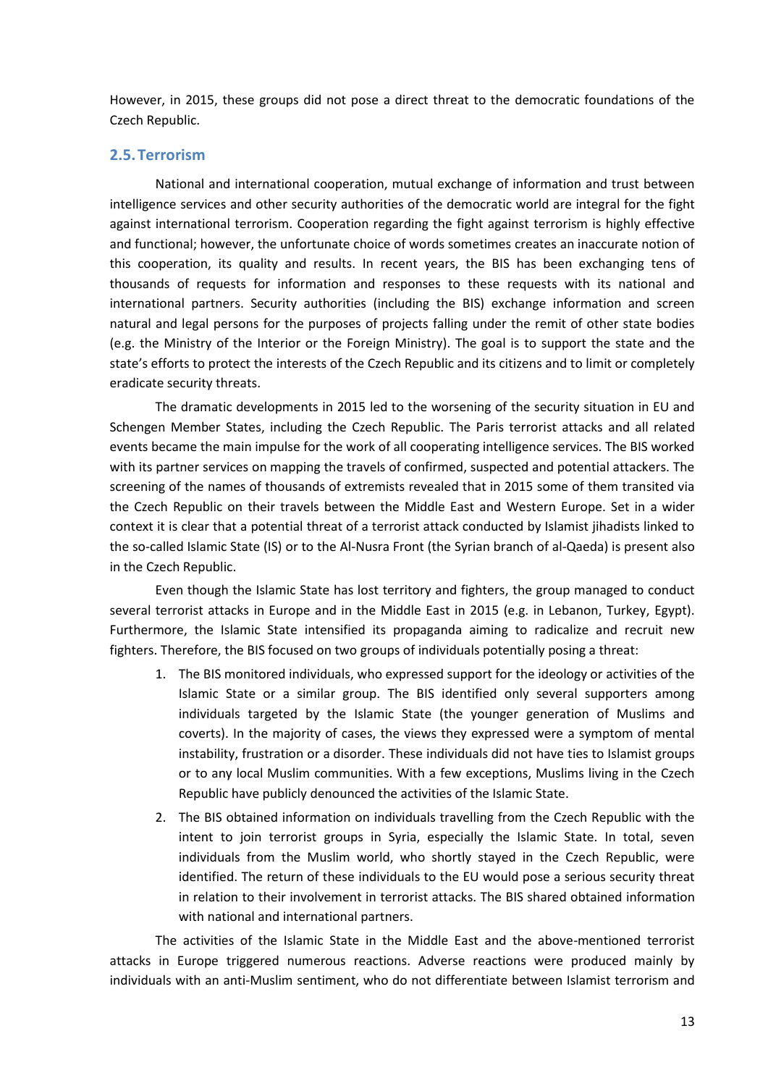However, in 2015, these groups did not pose a direct threat to the democratic foundations of the Czech Republic.

# <span id="page-12-0"></span>**2.5.Terrorism**

National and international cooperation, mutual exchange of information and trust between intelligence services and other security authorities of the democratic world are integral for the fight against international terrorism. Cooperation regarding the fight against terrorism is highly effective and functional; however, the unfortunate choice of words sometimes creates an inaccurate notion of this cooperation, its quality and results. In recent years, the BIS has been exchanging tens of thousands of requests for information and responses to these requests with its national and international partners. Security authorities (including the BIS) exchange information and screen natural and legal persons for the purposes of projects falling under the remit of other state bodies (e.g. the Ministry of the Interior or the Foreign Ministry). The goal is to support the state and the state's efforts to protect the interests of the Czech Republic and its citizens and to limit or completely eradicate security threats.

The dramatic developments in 2015 led to the worsening of the security situation in EU and Schengen Member States, including the Czech Republic. The Paris terrorist attacks and all related events became the main impulse for the work of all cooperating intelligence services. The BIS worked with its partner services on mapping the travels of confirmed, suspected and potential attackers. The screening of the names of thousands of extremists revealed that in 2015 some of them transited via the Czech Republic on their travels between the Middle East and Western Europe. Set in a wider context it is clear that a potential threat of a terrorist attack conducted by Islamist jihadists linked to the so-called Islamic State (IS) or to the Al-Nusra Front (the Syrian branch of al-Qaeda) is present also in the Czech Republic.

Even though the Islamic State has lost territory and fighters, the group managed to conduct several terrorist attacks in Europe and in the Middle East in 2015 (e.g. in Lebanon, Turkey, Egypt). Furthermore, the Islamic State intensified its propaganda aiming to radicalize and recruit new fighters. Therefore, the BIS focused on two groups of individuals potentially posing a threat:

- 1. The BIS monitored individuals, who expressed support for the ideology or activities of the Islamic State or a similar group. The BIS identified only several supporters among individuals targeted by the Islamic State (the younger generation of Muslims and coverts). In the majority of cases, the views they expressed were a symptom of mental instability, frustration or a disorder. These individuals did not have ties to Islamist groups or to any local Muslim communities. With a few exceptions, Muslims living in the Czech Republic have publicly denounced the activities of the Islamic State.
- 2. The BIS obtained information on individuals travelling from the Czech Republic with the intent to join terrorist groups in Syria, especially the Islamic State. In total, seven individuals from the Muslim world, who shortly stayed in the Czech Republic, were identified. The return of these individuals to the EU would pose a serious security threat in relation to their involvement in terrorist attacks. The BIS shared obtained information with national and international partners.

The activities of the Islamic State in the Middle East and the above-mentioned terrorist attacks in Europe triggered numerous reactions. Adverse reactions were produced mainly by individuals with an anti-Muslim sentiment, who do not differentiate between Islamist terrorism and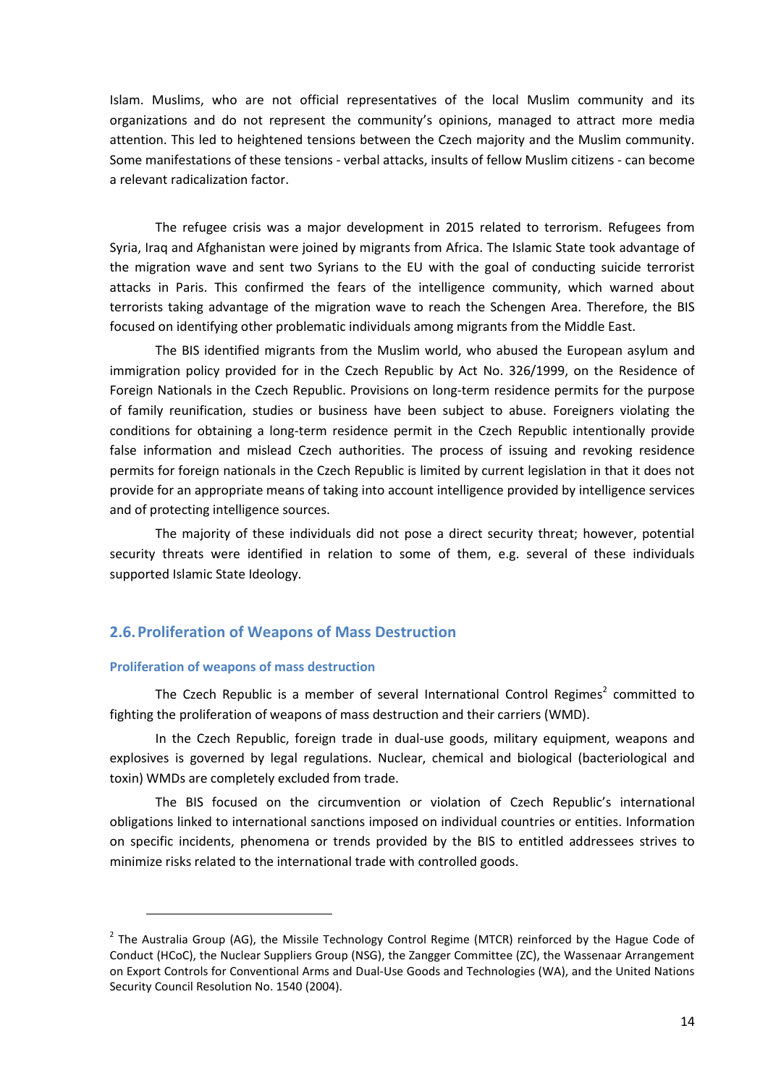Islam. Muslims, who are not official representatives of the local Muslim community and its organizations and do not represent the community's opinions, managed to attract more media attention. This led to heightened tensions between the Czech majority and the Muslim community. Some manifestations of these tensions - verbal attacks, insults of fellow Muslim citizens - can become a relevant radicalization factor.

The refugee crisis was a major development in 2015 related to terrorism. Refugees from Syria, Iraq and Afghanistan were joined by migrants from Africa. The Islamic State took advantage of the migration wave and sent two Syrians to the EU with the goal of conducting suicide terrorist attacks in Paris. This confirmed the fears of the intelligence community, which warned about terrorists taking advantage of the migration wave to reach the Schengen Area. Therefore, the BIS focused on identifying other problematic individuals among migrants from the Middle East.

The BIS identified migrants from the Muslim world, who abused the European asylum and immigration policy provided for in the Czech Republic by Act No. 326/1999, on the Residence of Foreign Nationals in the Czech Republic. Provisions on long-term residence permits for the purpose of family reunification, studies or business have been subject to abuse. Foreigners violating the conditions for obtaining a long-term residence permit in the Czech Republic intentionally provide false information and mislead Czech authorities. The process of issuing and revoking residence permits for foreign nationals in the Czech Republic is limited by current legislation in that it does not provide for an appropriate means of taking into account intelligence provided by intelligence services and of protecting intelligence sources.

The majority of these individuals did not pose a direct security threat; however, potential security threats were identified in relation to some of them, e.g. several of these individuals supported Islamic State Ideology.

### <span id="page-13-0"></span>**2.6.Proliferation of Weapons of Mass Destruction**

#### **Proliferation of weapons of mass destruction**

l

The Czech Republic is a member of several International Control Regimes<sup>2</sup> committed to fighting the proliferation of weapons of mass destruction and their carriers (WMD).

In the Czech Republic, foreign trade in dual-use goods, military equipment, weapons and explosives is governed by legal regulations. Nuclear, chemical and biological (bacteriological and toxin) WMDs are completely excluded from trade.

The BIS focused on the circumvention or violation of Czech Republic's international obligations linked to international sanctions imposed on individual countries or entities. Information on specific incidents, phenomena or trends provided by the BIS to entitled addressees strives to minimize risks related to the international trade with controlled goods.

<sup>&</sup>lt;sup>2</sup> The Australia Group (AG), the Missile Technology Control Regime (MTCR) reinforced by the Hague Code of Conduct (HCoC), the Nuclear Suppliers Group (NSG), the Zangger Committee (ZC), the Wassenaar Arrangement on Export Controls for Conventional Arms and Dual-Use Goods and Technologies (WA), and the United Nations Security Council Resolution No. 1540 (2004).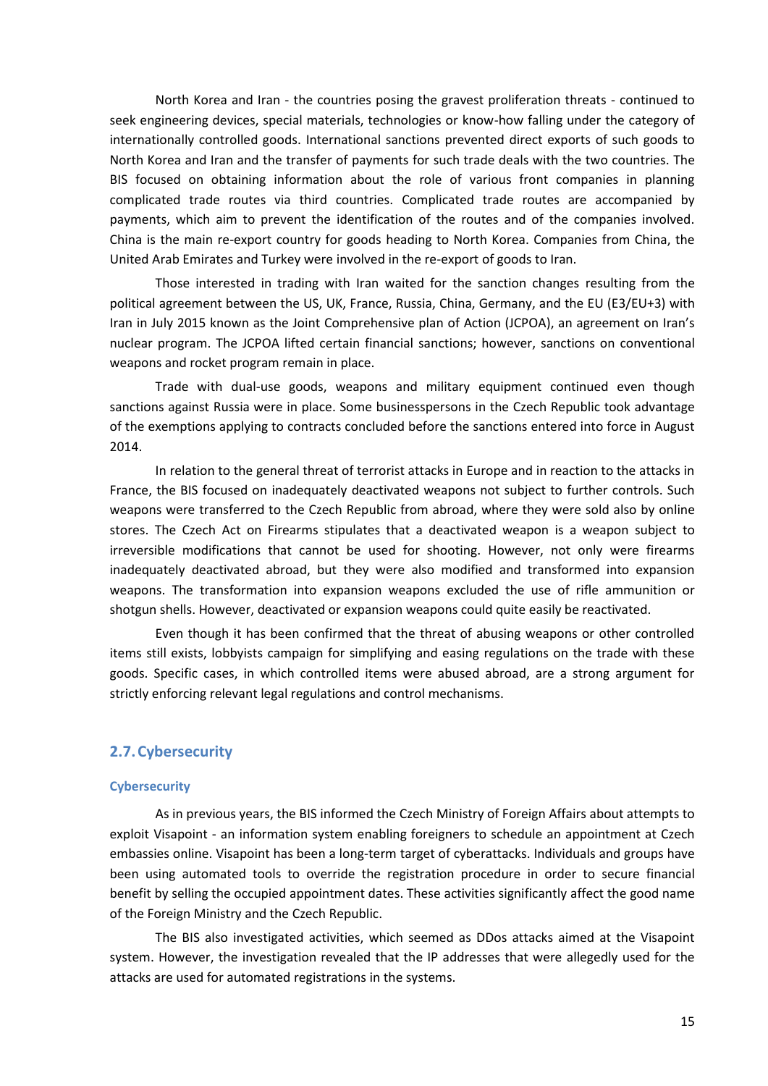North Korea and Iran - the countries posing the gravest proliferation threats - continued to seek engineering devices, special materials, technologies or know-how falling under the category of internationally controlled goods. International sanctions prevented direct exports of such goods to North Korea and Iran and the transfer of payments for such trade deals with the two countries. The BIS focused on obtaining information about the role of various front companies in planning complicated trade routes via third countries. Complicated trade routes are accompanied by payments, which aim to prevent the identification of the routes and of the companies involved. China is the main re-export country for goods heading to North Korea. Companies from China, the United Arab Emirates and Turkey were involved in the re-export of goods to Iran.

Those interested in trading with Iran waited for the sanction changes resulting from the political agreement between the US, UK, France, Russia, China, Germany, and the EU (E3/EU+3) with Iran in July 2015 known as the Joint Comprehensive plan of Action (JCPOA), an agreement on Iran's nuclear program. The JCPOA lifted certain financial sanctions; however, sanctions on conventional weapons and rocket program remain in place.

Trade with dual-use goods, weapons and military equipment continued even though sanctions against Russia were in place. Some businesspersons in the Czech Republic took advantage of the exemptions applying to contracts concluded before the sanctions entered into force in August 2014.

In relation to the general threat of terrorist attacks in Europe and in reaction to the attacks in France, the BIS focused on inadequately deactivated weapons not subject to further controls. Such weapons were transferred to the Czech Republic from abroad, where they were sold also by online stores. The Czech Act on Firearms stipulates that a deactivated weapon is a weapon subject to irreversible modifications that cannot be used for shooting. However, not only were firearms inadequately deactivated abroad, but they were also modified and transformed into expansion weapons. The transformation into expansion weapons excluded the use of rifle ammunition or shotgun shells. However, deactivated or expansion weapons could quite easily be reactivated.

Even though it has been confirmed that the threat of abusing weapons or other controlled items still exists, lobbyists campaign for simplifying and easing regulations on the trade with these goods. Specific cases, in which controlled items were abused abroad, are a strong argument for strictly enforcing relevant legal regulations and control mechanisms.

# <span id="page-14-0"></span>**2.7.Cybersecurity**

#### **Cybersecurity**

As in previous years, the BIS informed the Czech Ministry of Foreign Affairs about attempts to exploit Visapoint - an information system enabling foreigners to schedule an appointment at Czech embassies online. Visapoint has been a long-term target of cyberattacks. Individuals and groups have been using automated tools to override the registration procedure in order to secure financial benefit by selling the occupied appointment dates. These activities significantly affect the good name of the Foreign Ministry and the Czech Republic.

The BIS also investigated activities, which seemed as DDos attacks aimed at the Visapoint system. However, the investigation revealed that the IP addresses that were allegedly used for the attacks are used for automated registrations in the systems.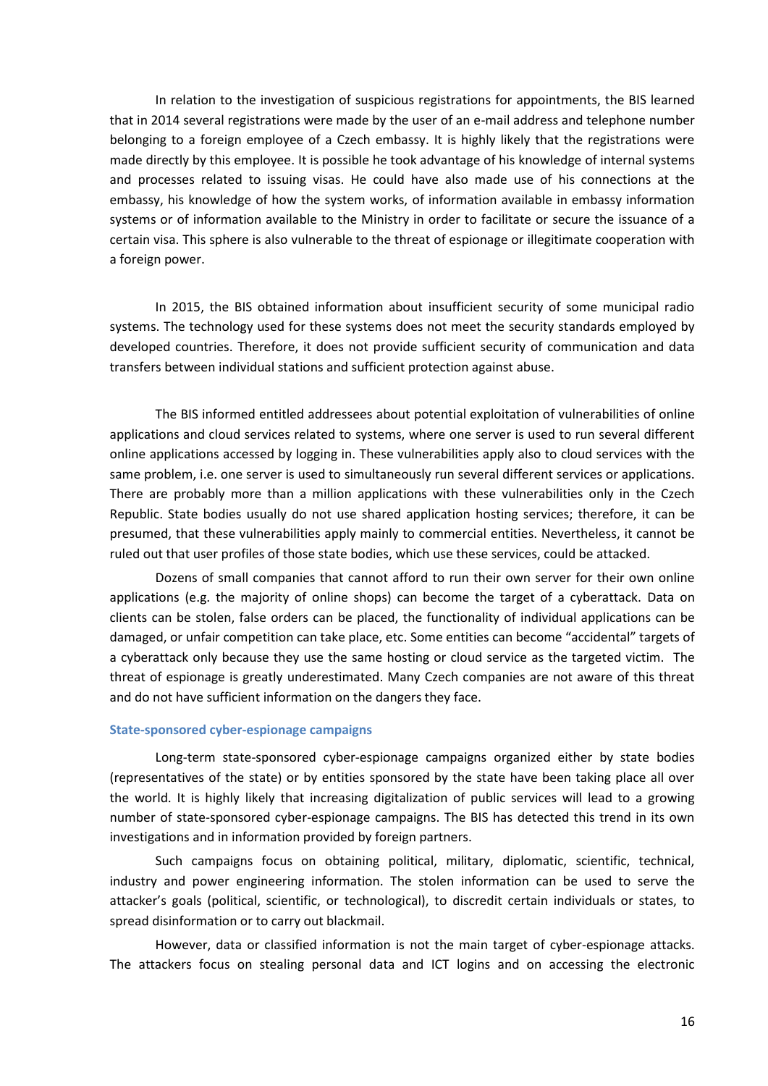In relation to the investigation of suspicious registrations for appointments, the BIS learned that in 2014 several registrations were made by the user of an e-mail address and telephone number belonging to a foreign employee of a Czech embassy. It is highly likely that the registrations were made directly by this employee. It is possible he took advantage of his knowledge of internal systems and processes related to issuing visas. He could have also made use of his connections at the embassy, his knowledge of how the system works, of information available in embassy information systems or of information available to the Ministry in order to facilitate or secure the issuance of a certain visa. This sphere is also vulnerable to the threat of espionage or illegitimate cooperation with a foreign power.

In 2015, the BIS obtained information about insufficient security of some municipal radio systems. The technology used for these systems does not meet the security standards employed by developed countries. Therefore, it does not provide sufficient security of communication and data transfers between individual stations and sufficient protection against abuse.

The BIS informed entitled addressees about potential exploitation of vulnerabilities of online applications and cloud services related to systems, where one server is used to run several different online applications accessed by logging in. These vulnerabilities apply also to cloud services with the same problem, i.e. one server is used to simultaneously run several different services or applications. There are probably more than a million applications with these vulnerabilities only in the Czech Republic. State bodies usually do not use shared application hosting services; therefore, it can be presumed, that these vulnerabilities apply mainly to commercial entities. Nevertheless, it cannot be ruled out that user profiles of those state bodies, which use these services, could be attacked.

Dozens of small companies that cannot afford to run their own server for their own online applications (e.g. the majority of online shops) can become the target of a cyberattack. Data on clients can be stolen, false orders can be placed, the functionality of individual applications can be damaged, or unfair competition can take place, etc. Some entities can become "accidental" targets of a cyberattack only because they use the same hosting or cloud service as the targeted victim. The threat of espionage is greatly underestimated. Many Czech companies are not aware of this threat and do not have sufficient information on the dangers they face.

#### **State-sponsored cyber-espionage campaigns**

Long-term state-sponsored cyber-espionage campaigns organized either by state bodies (representatives of the state) or by entities sponsored by the state have been taking place all over the world. It is highly likely that increasing digitalization of public services will lead to a growing number of state-sponsored cyber-espionage campaigns. The BIS has detected this trend in its own investigations and in information provided by foreign partners.

Such campaigns focus on obtaining political, military, diplomatic, scientific, technical, industry and power engineering information. The stolen information can be used to serve the attacker's goals (political, scientific, or technological), to discredit certain individuals or states, to spread disinformation or to carry out blackmail.

However, data or classified information is not the main target of cyber-espionage attacks. The attackers focus on stealing personal data and ICT logins and on accessing the electronic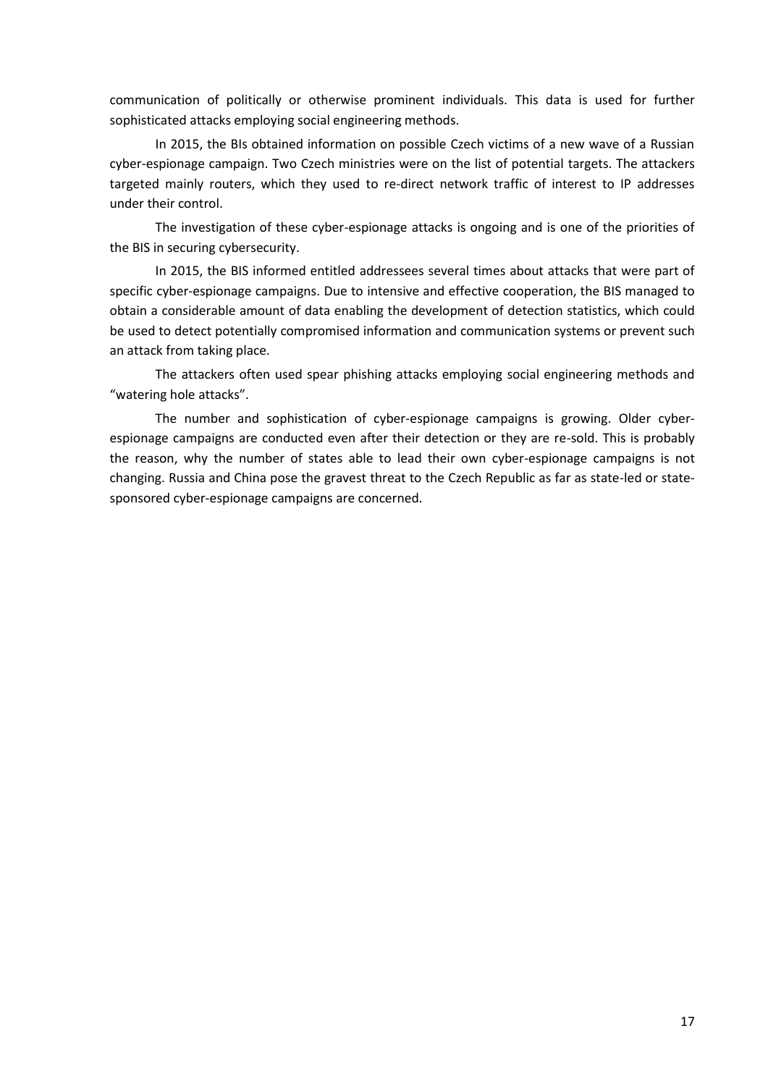communication of politically or otherwise prominent individuals. This data is used for further sophisticated attacks employing social engineering methods.

In 2015, the BIs obtained information on possible Czech victims of a new wave of a Russian cyber-espionage campaign. Two Czech ministries were on the list of potential targets. The attackers targeted mainly routers, which they used to re-direct network traffic of interest to IP addresses under their control.

The investigation of these cyber-espionage attacks is ongoing and is one of the priorities of the BIS in securing cybersecurity.

In 2015, the BIS informed entitled addressees several times about attacks that were part of specific cyber-espionage campaigns. Due to intensive and effective cooperation, the BIS managed to obtain a considerable amount of data enabling the development of detection statistics, which could be used to detect potentially compromised information and communication systems or prevent such an attack from taking place.

The attackers often used spear phishing attacks employing social engineering methods and "watering hole attacks".

The number and sophistication of cyber-espionage campaigns is growing. Older cyberespionage campaigns are conducted even after their detection or they are re-sold. This is probably the reason, why the number of states able to lead their own cyber-espionage campaigns is not changing. Russia and China pose the gravest threat to the Czech Republic as far as state-led or statesponsored cyber-espionage campaigns are concerned.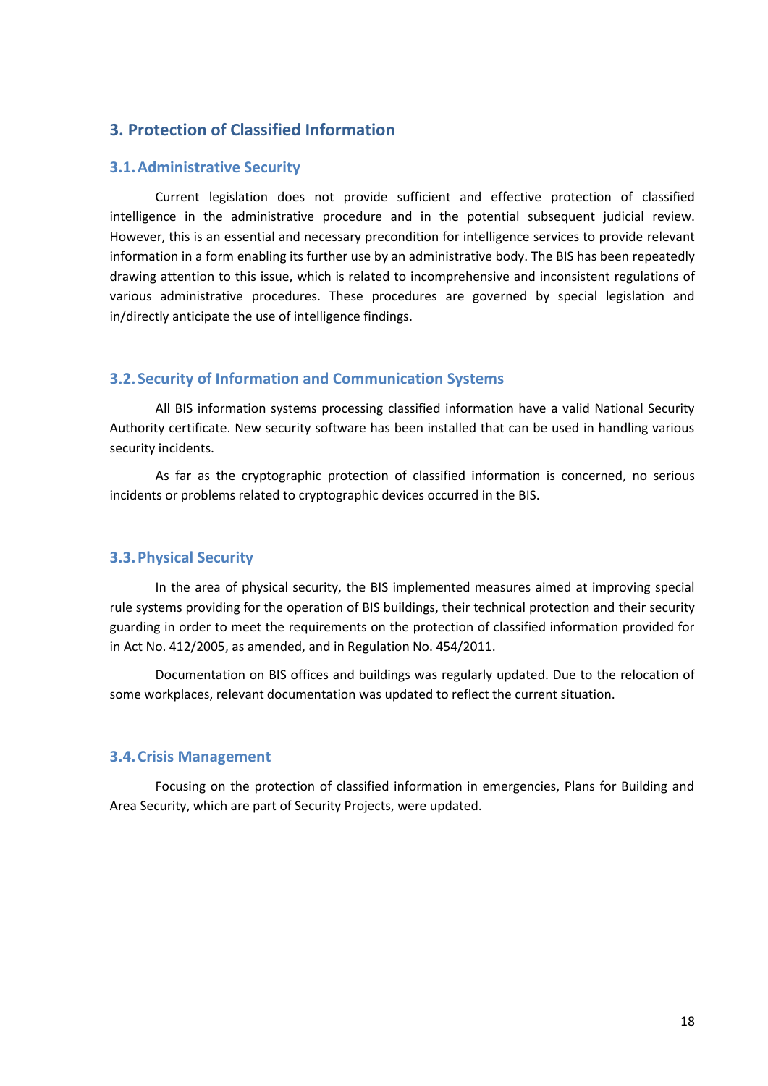# <span id="page-17-0"></span>**3. Protection of Classified Information**

### <span id="page-17-1"></span>**3.1.Administrative Security**

Current legislation does not provide sufficient and effective protection of classified intelligence in the administrative procedure and in the potential subsequent judicial review. However, this is an essential and necessary precondition for intelligence services to provide relevant information in a form enabling its further use by an administrative body. The BIS has been repeatedly drawing attention to this issue, which is related to incomprehensive and inconsistent regulations of various administrative procedures. These procedures are governed by special legislation and in/directly anticipate the use of intelligence findings.

#### <span id="page-17-2"></span>**3.2.Security of Information and Communication Systems**

All BIS information systems processing classified information have a valid National Security Authority certificate. New security software has been installed that can be used in handling various security incidents.

As far as the cryptographic protection of classified information is concerned, no serious incidents or problems related to cryptographic devices occurred in the BIS.

## <span id="page-17-3"></span>**3.3.Physical Security**

In the area of physical security, the BIS implemented measures aimed at improving special rule systems providing for the operation of BIS buildings, their technical protection and their security guarding in order to meet the requirements on the protection of classified information provided for in Act No. 412/2005, as amended, and in Regulation No. 454/2011.

Documentation on BIS offices and buildings was regularly updated. Due to the relocation of some workplaces, relevant documentation was updated to reflect the current situation.

### <span id="page-17-4"></span>**3.4.Crisis Management**

Focusing on the protection of classified information in emergencies, Plans for Building and Area Security, which are part of Security Projects, were updated.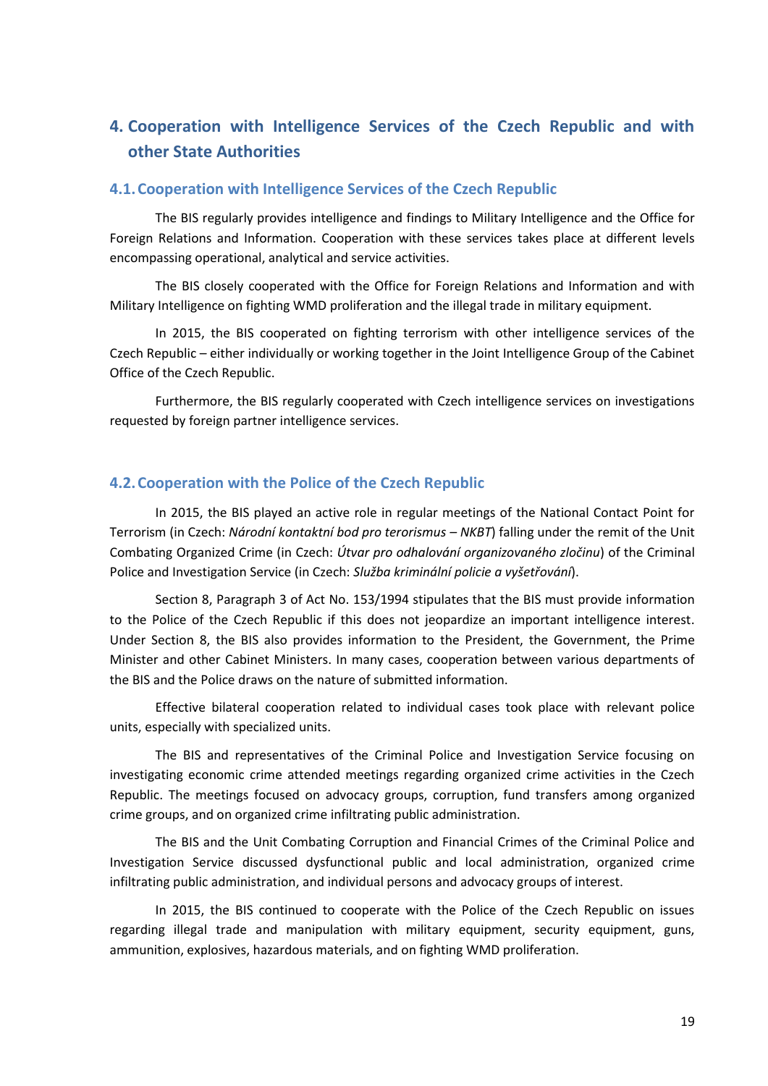# <span id="page-18-0"></span>**4. Cooperation with Intelligence Services of the Czech Republic and with other State Authorities**

## <span id="page-18-1"></span>**4.1.Cooperation with Intelligence Services of the Czech Republic**

The BIS regularly provides intelligence and findings to Military Intelligence and the Office for Foreign Relations and Information. Cooperation with these services takes place at different levels encompassing operational, analytical and service activities.

The BIS closely cooperated with the Office for Foreign Relations and Information and with Military Intelligence on fighting WMD proliferation and the illegal trade in military equipment.

In 2015, the BIS cooperated on fighting terrorism with other intelligence services of the Czech Republic – either individually or working together in the Joint Intelligence Group of the Cabinet Office of the Czech Republic.

Furthermore, the BIS regularly cooperated with Czech intelligence services on investigations requested by foreign partner intelligence services.

# <span id="page-18-2"></span>**4.2.Cooperation with the Police of the Czech Republic**

In 2015, the BIS played an active role in regular meetings of the National Contact Point for Terrorism (in Czech: *Národní kontaktní bod pro terorismus – NKBT*) falling under the remit of the Unit Combating Organized Crime (in Czech: *Útvar pro odhalování organizovaného zločinu*) of the Criminal Police and Investigation Service (in Czech: *Služba kriminální policie a vyšetřování*).

Section 8, Paragraph 3 of Act No. 153/1994 stipulates that the BIS must provide information to the Police of the Czech Republic if this does not jeopardize an important intelligence interest. Under Section 8, the BIS also provides information to the President, the Government, the Prime Minister and other Cabinet Ministers. In many cases, cooperation between various departments of the BIS and the Police draws on the nature of submitted information.

Effective bilateral cooperation related to individual cases took place with relevant police units, especially with specialized units.

The BIS and representatives of the Criminal Police and Investigation Service focusing on investigating economic crime attended meetings regarding organized crime activities in the Czech Republic. The meetings focused on advocacy groups, corruption, fund transfers among organized crime groups, and on organized crime infiltrating public administration.

The BIS and the Unit Combating Corruption and Financial Crimes of the Criminal Police and Investigation Service discussed dysfunctional public and local administration, organized crime infiltrating public administration, and individual persons and advocacy groups of interest.

In 2015, the BIS continued to cooperate with the Police of the Czech Republic on issues regarding illegal trade and manipulation with military equipment, security equipment, guns, ammunition, explosives, hazardous materials, and on fighting WMD proliferation.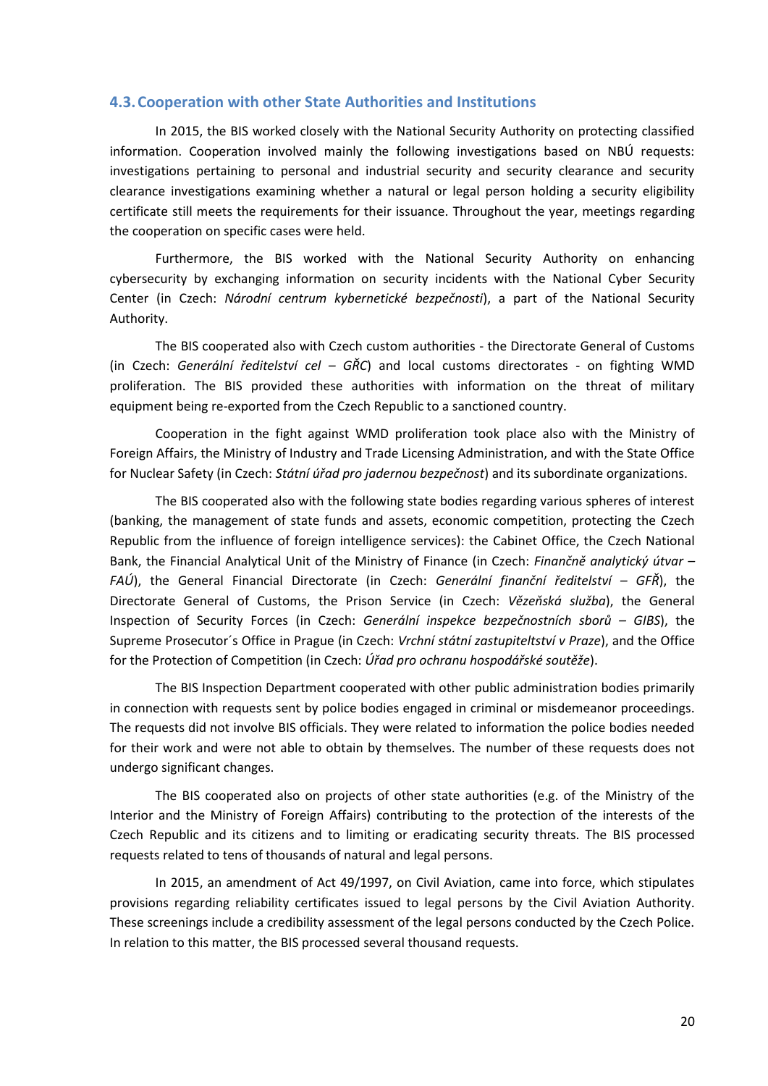## <span id="page-19-0"></span>**4.3.Cooperation with other State Authorities and Institutions**

In 2015, the BIS worked closely with the National Security Authority on protecting classified information. Cooperation involved mainly the following investigations based on NBÚ requests: investigations pertaining to personal and industrial security and security clearance and security clearance investigations examining whether a natural or legal person holding a security eligibility certificate still meets the requirements for their issuance. Throughout the year, meetings regarding the cooperation on specific cases were held.

Furthermore, the BIS worked with the National Security Authority on enhancing cybersecurity by exchanging information on security incidents with the National Cyber Security Center (in Czech: *Národní centrum kybernetické bezpečnosti*), a part of the National Security Authority.

The BIS cooperated also with Czech custom authorities - the Directorate General of Customs (in Czech: *Generální ředitelství cel – GŘC*) and local customs directorates - on fighting WMD proliferation. The BIS provided these authorities with information on the threat of military equipment being re-exported from the Czech Republic to a sanctioned country.

Cooperation in the fight against WMD proliferation took place also with the Ministry of Foreign Affairs, the Ministry of Industry and Trade Licensing Administration, and with the State Office for Nuclear Safety (in Czech: *Státní úřad pro jadernou bezpečnost*) and its subordinate organizations.

The BIS cooperated also with the following state bodies regarding various spheres of interest (banking, the management of state funds and assets, economic competition, protecting the Czech Republic from the influence of foreign intelligence services): the Cabinet Office, the Czech National Bank, the Financial Analytical Unit of the Ministry of Finance (in Czech: *Finančně analytický útvar – FAÚ*), the General Financial Directorate (in Czech: *Generální finanční ředitelství – GFŘ*), the Directorate General of Customs, the Prison Service (in Czech: *Vězeňská služba*), the General Inspection of Security Forces (in Czech: *Generální inspekce bezpečnostních sborů – GIBS*), the Supreme Prosecutor´s Office in Prague (in Czech: *Vrchní státní zastupiteltství v Praze*), and the Office for the Protection of Competition (in Czech: *Úřad pro ochranu hospodářské soutěže*).

The BIS Inspection Department cooperated with other public administration bodies primarily in connection with requests sent by police bodies engaged in criminal or misdemeanor proceedings. The requests did not involve BIS officials. They were related to information the police bodies needed for their work and were not able to obtain by themselves. The number of these requests does not undergo significant changes.

The BIS cooperated also on projects of other state authorities (e.g. of the Ministry of the Interior and the Ministry of Foreign Affairs) contributing to the protection of the interests of the Czech Republic and its citizens and to limiting or eradicating security threats. The BIS processed requests related to tens of thousands of natural and legal persons.

In 2015, an amendment of Act 49/1997, on Civil Aviation, came into force, which stipulates provisions regarding reliability certificates issued to legal persons by the Civil Aviation Authority. These screenings include a credibility assessment of the legal persons conducted by the Czech Police. In relation to this matter, the BIS processed several thousand requests.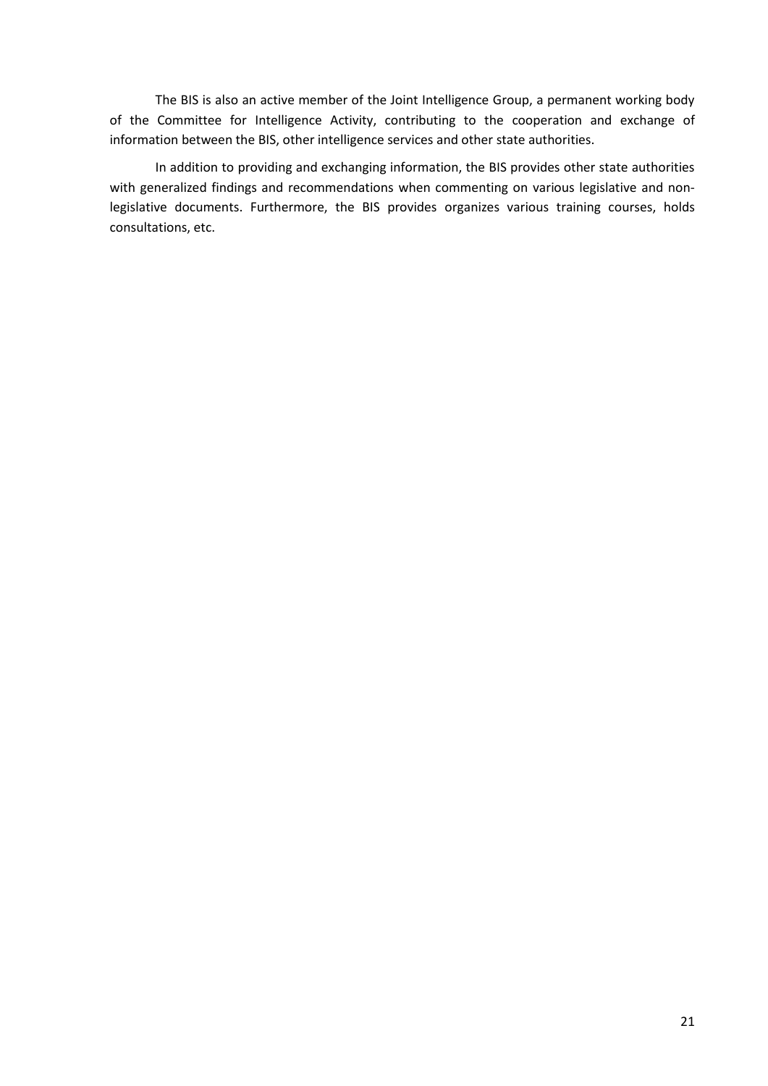The BIS is also an active member of the Joint Intelligence Group, a permanent working body of the Committee for Intelligence Activity, contributing to the cooperation and exchange of information between the BIS, other intelligence services and other state authorities.

In addition to providing and exchanging information, the BIS provides other state authorities with generalized findings and recommendations when commenting on various legislative and nonlegislative documents. Furthermore, the BIS provides organizes various training courses, holds consultations, etc.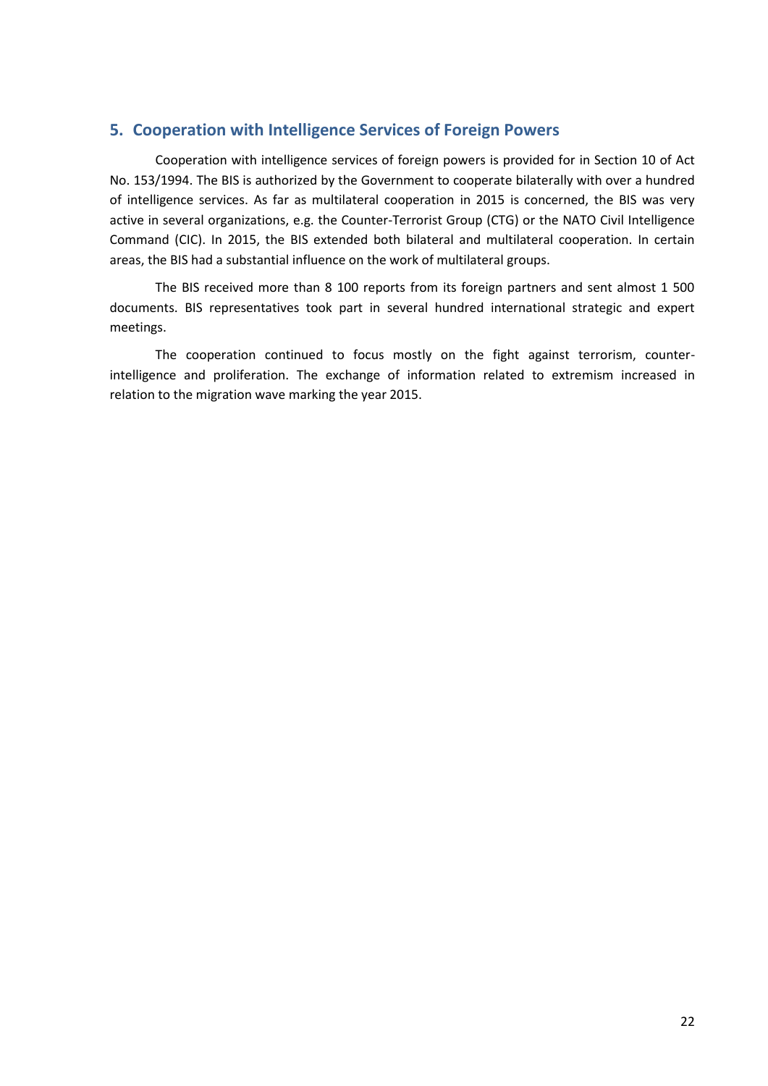# <span id="page-21-0"></span>**5. Cooperation with Intelligence Services of Foreign Powers**

Cooperation with intelligence services of foreign powers is provided for in Section 10 of Act No. 153/1994. The BIS is authorized by the Government to cooperate bilaterally with over a hundred of intelligence services. As far as multilateral cooperation in 2015 is concerned, the BIS was very active in several organizations, e.g. the Counter-Terrorist Group (CTG) or the NATO Civil Intelligence Command (CIC). In 2015, the BIS extended both bilateral and multilateral cooperation. In certain areas, the BIS had a substantial influence on the work of multilateral groups.

The BIS received more than 8 100 reports from its foreign partners and sent almost 1 500 documents. BIS representatives took part in several hundred international strategic and expert meetings.

The cooperation continued to focus mostly on the fight against terrorism, counterintelligence and proliferation. The exchange of information related to extremism increased in relation to the migration wave marking the year 2015.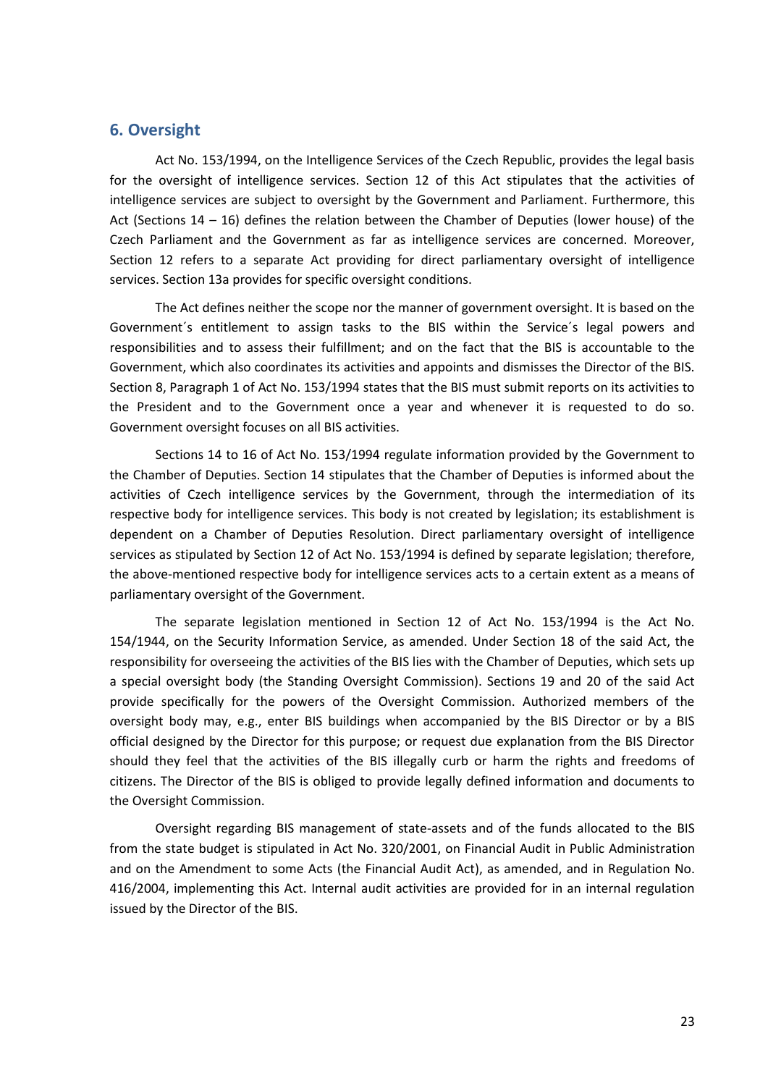# <span id="page-22-0"></span>**6. Oversight**

Act No. 153/1994, on the Intelligence Services of the Czech Republic, provides the legal basis for the oversight of intelligence services. Section 12 of this Act stipulates that the activities of intelligence services are subject to oversight by the Government and Parliament. Furthermore, this Act (Sections 14 – 16) defines the relation between the Chamber of Deputies (lower house) of the Czech Parliament and the Government as far as intelligence services are concerned. Moreover, Section 12 refers to a separate Act providing for direct parliamentary oversight of intelligence services. Section 13a provides for specific oversight conditions.

The Act defines neither the scope nor the manner of government oversight. It is based on the Government´s entitlement to assign tasks to the BIS within the Service´s legal powers and responsibilities and to assess their fulfillment; and on the fact that the BIS is accountable to the Government, which also coordinates its activities and appoints and dismisses the Director of the BIS. Section 8, Paragraph 1 of Act No. 153/1994 states that the BIS must submit reports on its activities to the President and to the Government once a year and whenever it is requested to do so. Government oversight focuses on all BIS activities.

Sections 14 to 16 of Act No. 153/1994 regulate information provided by the Government to the Chamber of Deputies. Section 14 stipulates that the Chamber of Deputies is informed about the activities of Czech intelligence services by the Government, through the intermediation of its respective body for intelligence services. This body is not created by legislation; its establishment is dependent on a Chamber of Deputies Resolution. Direct parliamentary oversight of intelligence services as stipulated by Section 12 of Act No. 153/1994 is defined by separate legislation; therefore, the above-mentioned respective body for intelligence services acts to a certain extent as a means of parliamentary oversight of the Government.

The separate legislation mentioned in Section 12 of Act No. 153/1994 is the Act No. 154/1944, on the Security Information Service, as amended. Under Section 18 of the said Act, the responsibility for overseeing the activities of the BIS lies with the Chamber of Deputies, which sets up a special oversight body (the Standing Oversight Commission). Sections 19 and 20 of the said Act provide specifically for the powers of the Oversight Commission. Authorized members of the oversight body may, e.g., enter BIS buildings when accompanied by the BIS Director or by a BIS official designed by the Director for this purpose; or request due explanation from the BIS Director should they feel that the activities of the BIS illegally curb or harm the rights and freedoms of citizens. The Director of the BIS is obliged to provide legally defined information and documents to the Oversight Commission.

Oversight regarding BIS management of state-assets and of the funds allocated to the BIS from the state budget is stipulated in Act No. 320/2001, on Financial Audit in Public Administration and on the Amendment to some Acts (the Financial Audit Act), as amended, and in Regulation No. 416/2004, implementing this Act. Internal audit activities are provided for in an internal regulation issued by the Director of the BIS.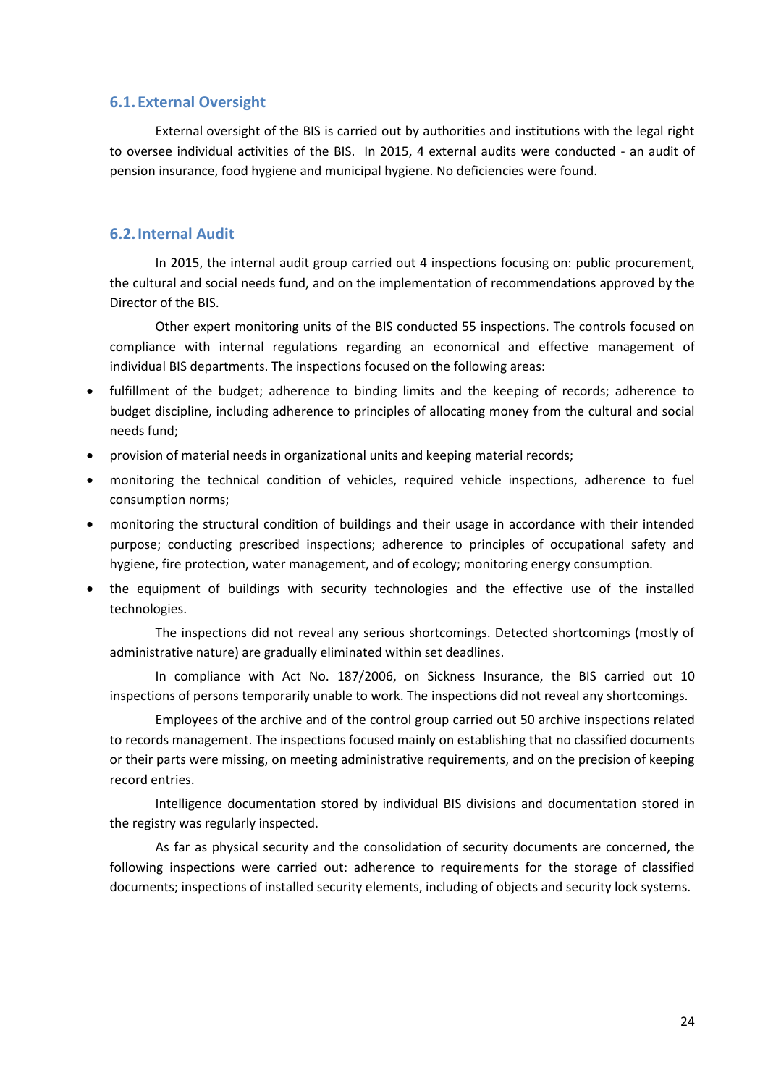## <span id="page-23-0"></span>**6.1.External Oversight**

External oversight of the BIS is carried out by authorities and institutions with the legal right to oversee individual activities of the BIS. In 2015, 4 external audits were conducted - an audit of pension insurance, food hygiene and municipal hygiene. No deficiencies were found.

# <span id="page-23-1"></span>**6.2.Internal Audit**

In 2015, the internal audit group carried out 4 inspections focusing on: public procurement, the cultural and social needs fund, and on the implementation of recommendations approved by the Director of the BIS.

Other expert monitoring units of the BIS conducted 55 inspections. The controls focused on compliance with internal regulations regarding an economical and effective management of individual BIS departments. The inspections focused on the following areas:

- fulfillment of the budget; adherence to binding limits and the keeping of records; adherence to budget discipline, including adherence to principles of allocating money from the cultural and social needs fund;
- provision of material needs in organizational units and keeping material records;
- monitoring the technical condition of vehicles, required vehicle inspections, adherence to fuel consumption norms;
- monitoring the structural condition of buildings and their usage in accordance with their intended purpose; conducting prescribed inspections; adherence to principles of occupational safety and hygiene, fire protection, water management, and of ecology; monitoring energy consumption.
- the equipment of buildings with security technologies and the effective use of the installed technologies.

The inspections did not reveal any serious shortcomings. Detected shortcomings (mostly of administrative nature) are gradually eliminated within set deadlines.

In compliance with Act No. 187/2006, on Sickness Insurance, the BIS carried out 10 inspections of persons temporarily unable to work. The inspections did not reveal any shortcomings.

Employees of the archive and of the control group carried out 50 archive inspections related to records management. The inspections focused mainly on establishing that no classified documents or their parts were missing, on meeting administrative requirements, and on the precision of keeping record entries.

Intelligence documentation stored by individual BIS divisions and documentation stored in the registry was regularly inspected.

As far as physical security and the consolidation of security documents are concerned, the following inspections were carried out: adherence to requirements for the storage of classified documents; inspections of installed security elements, including of objects and security lock systems.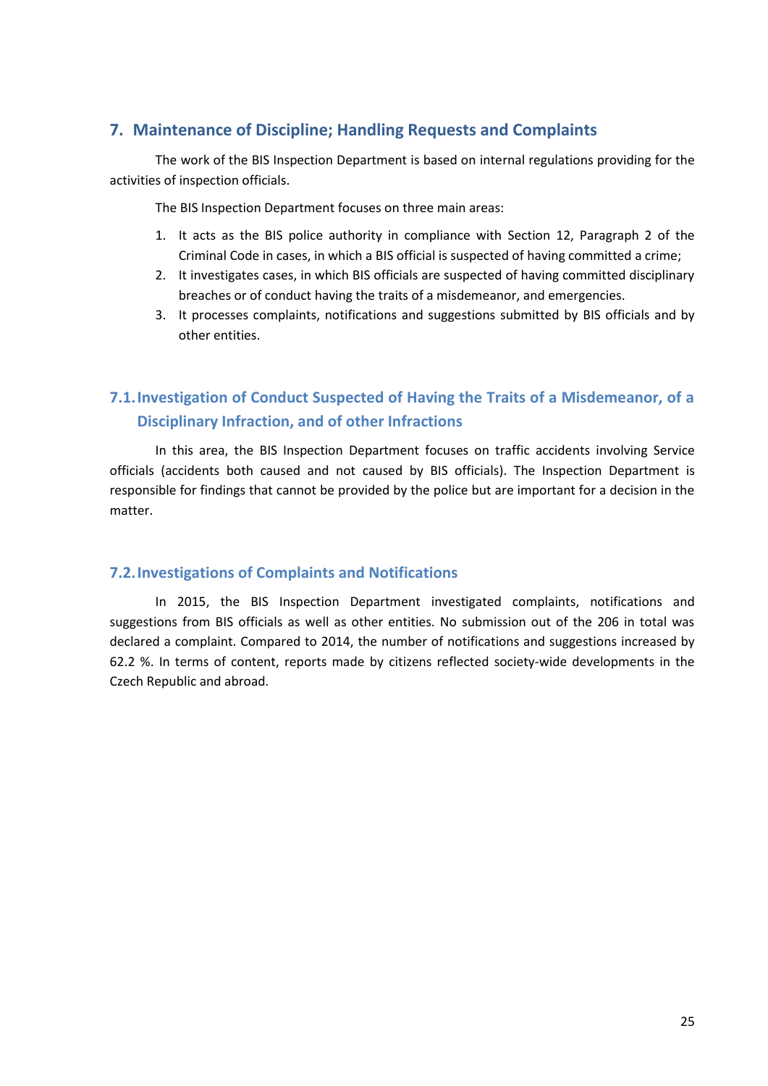# <span id="page-24-0"></span>**7. Maintenance of Discipline; Handling Requests and Complaints**

The work of the BIS Inspection Department is based on internal regulations providing for the activities of inspection officials.

The BIS Inspection Department focuses on three main areas:

- 1. It acts as the BIS police authority in compliance with Section 12, Paragraph 2 of the Criminal Code in cases, in which a BIS official is suspected of having committed a crime;
- 2. It investigates cases, in which BIS officials are suspected of having committed disciplinary breaches or of conduct having the traits of a misdemeanor, and emergencies.
- 3. It processes complaints, notifications and suggestions submitted by BIS officials and by other entities.

# <span id="page-24-1"></span>**7.1.Investigation of Conduct Suspected of Having the Traits of a Misdemeanor, of a Disciplinary Infraction, and of other Infractions**

In this area, the BIS Inspection Department focuses on traffic accidents involving Service officials (accidents both caused and not caused by BIS officials). The Inspection Department is responsible for findings that cannot be provided by the police but are important for a decision in the matter.

# <span id="page-24-2"></span>**7.2.Investigations of Complaints and Notifications**

In 2015, the BIS Inspection Department investigated complaints, notifications and suggestions from BIS officials as well as other entities. No submission out of the 206 in total was declared a complaint. Compared to 2014, the number of notifications and suggestions increased by 62.2 %. In terms of content, reports made by citizens reflected society-wide developments in the Czech Republic and abroad.